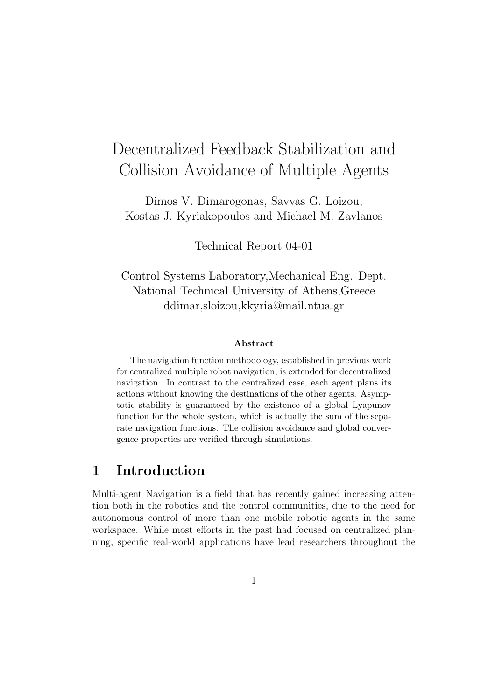# Decentralized Feedback Stabilization and Collision Avoidance of Multiple Agents

Dimos V. Dimarogonas, Savvas G. Loizou, Kostas J. Kyriakopoulos and Michael M. Zavlanos

Technical Report 04-01

Control Systems Laboratory,Mechanical Eng. Dept. National Technical University of Athens,Greece ddimar,sloizou,kkyria@mail.ntua.gr

#### Abstract

The navigation function methodology, established in previous work for centralized multiple robot navigation, is extended for decentralized navigation. In contrast to the centralized case, each agent plans its actions without knowing the destinations of the other agents. Asymptotic stability is guaranteed by the existence of a global Lyapunov function for the whole system, which is actually the sum of the separate navigation functions. The collision avoidance and global convergence properties are verified through simulations.

# 1 Introduction

Multi-agent Navigation is a field that has recently gained increasing attention both in the robotics and the control communities, due to the need for autonomous control of more than one mobile robotic agents in the same workspace. While most efforts in the past had focused on centralized planning, specific real-world applications have lead researchers throughout the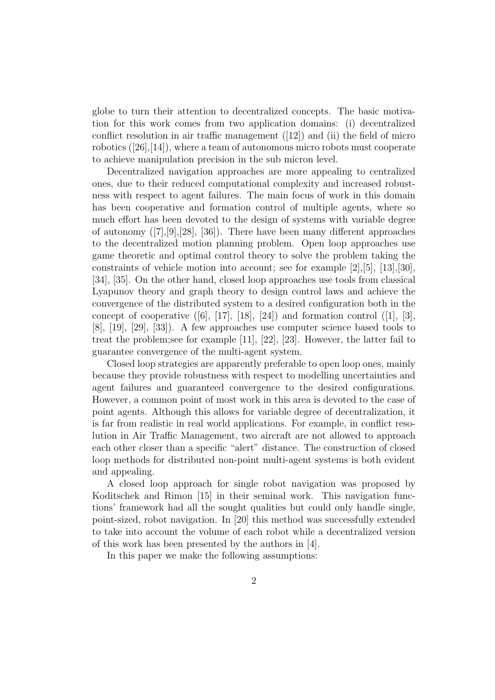globe to turn their attention to decentralized concepts. The basic motivation for this work comes from two application domains: (i) decentralized conflict resolution in air traffic management  $(12)$  and (ii) the field of micro robotics ([26],[14]), where a team of autonomous micro robots must cooperate to achieve manipulation precision in the sub micron level.

Decentralized navigation approaches are more appealing to centralized ones, due to their reduced computational complexity and increased robustness with respect to agent failures. The main focus of work in this domain has been cooperative and formation control of multiple agents, where so much effort has been devoted to the design of systems with variable degree of autonomy ([7],[9],[28], [36]). There have been many different approaches to the decentralized motion planning problem. Open loop approaches use game theoretic and optimal control theory to solve the problem taking the constraints of vehicle motion into account; see for example [2],[5], [13],[30], [34], [35]. On the other hand, closed loop approaches use tools from classical Lyapunov theory and graph theory to design control laws and achieve the convergence of the distributed system to a desired configuration both in the concept of cooperative  $([6], [17], [18], [24])$  and formation control  $([1], [3],$ [8], [19], [29], [33]). A few approaches use computer science based tools to treat the problem;see for example [11], [22], [23]. However, the latter fail to guarantee convergence of the multi-agent system.

Closed loop strategies are apparently preferable to open loop ones, mainly because they provide robustness with respect to modelling uncertainties and agent failures and guaranteed convergence to the desired configurations. However, a common point of most work in this area is devoted to the case of point agents. Although this allows for variable degree of decentralization, it is far from realistic in real world applications. For example, in conflict resolution in Air Traffic Management, two aircraft are not allowed to approach each other closer than a specific "alert" distance. The construction of closed loop methods for distributed non-point multi-agent systems is both evident and appealing.

A closed loop approach for single robot navigation was proposed by Koditschek and Rimon [15] in their seminal work. This navigation functions' framework had all the sought qualities but could only handle single, point-sized, robot navigation. In [20] this method was successfully extended to take into account the volume of each robot while a decentralized version of this work has been presented by the authors in [4].

In this paper we make the following assumptions: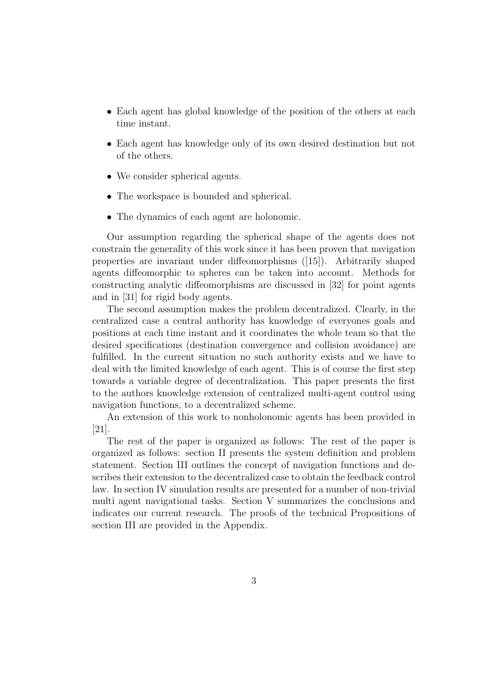- Each agent has global knowledge of the position of the others at each time instant.
- Each agent has knowledge only of its own desired destination but not of the others.
- We consider spherical agents.
- The workspace is bounded and spherical.
- The dynamics of each agent are holonomic.

Our assumption regarding the spherical shape of the agents does not constrain the generality of this work since it has been proven that navigation properties are invariant under diffeomorphisms ([15]). Arbitrarily shaped agents diffeomorphic to spheres can be taken into account. Methods for constructing analytic diffeomorphisms are discussed in [32] for point agents and in [31] for rigid body agents.

The second assumption makes the problem decentralized. Clearly, in the centralized case a central authority has knowledge of everyones goals and positions at each time instant and it coordinates the whole team so that the desired specifications (destination convergence and collision avoidance) are fulfilled. In the current situation no such authority exists and we have to deal with the limited knowledge of each agent. This is of course the first step towards a variable degree of decentralization. This paper presents the first to the authors knowledge extension of centralized multi-agent control using navigation functions, to a decentralized scheme.

An extension of this work to nonholonomic agents has been provided in [21].

The rest of the paper is organized as follows: The rest of the paper is organized as follows: section II presents the system definition and problem statement. Section III outlines the concept of navigation functions and describes their extension to the decentralized case to obtain the feedback control law. In section IV simulation results are presented for a number of non-trivial multi agent navigational tasks. Section V summarizes the conclusions and indicates our current research. The proofs of the technical Propositions of section III are provided in the Appendix.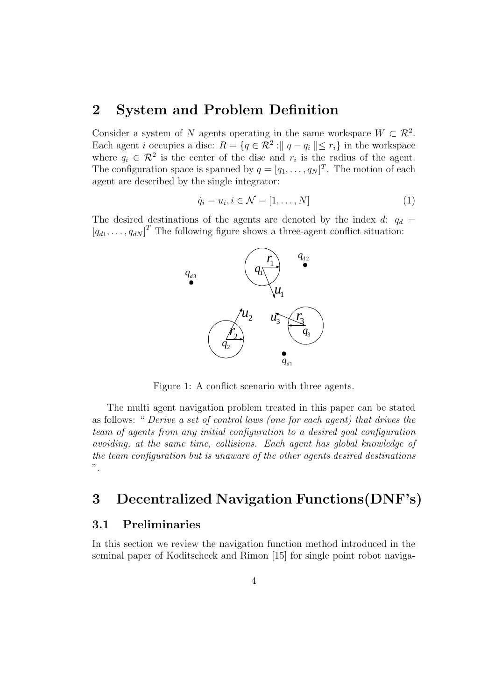## 2 System and Problem Definition

Consider a system of N agents operating in the same workspace  $W \subset \mathcal{R}^2$ . Each agent *i* occupies a disc:  $R = \{q \in \mathbb{R}^2 : ||q - q_i|| \leq r_i\}$  in the workspace where  $q_i \in \mathcal{R}^2$  is the center of the disc and  $r_i$  is the radius of the agent. The configuration space is spanned by  $q = [q_1, \ldots, q_N]^T$ . The motion of each agent are described by the single integrator:

$$
\dot{q}_i = u_i, i \in \mathcal{N} = [1, \dots, N] \tag{1}
$$

The desired destinations of the agents are denoted by the index d:  $q_d$  =  $[q_{d1}, \ldots, q_{dN}]^T$  The following figure shows a three-agent conflict situation:



Figure 1: A conflict scenario with three agents.

The multi agent navigation problem treated in this paper can be stated as follows: " Derive a set of control laws (one for each agent) that drives the team of agents from any initial configuration to a desired goal configuration avoiding, at the same time, collisions. Each agent has global knowledge of the team configuration but is unaware of the other agents desired destinations ".

# 3 Decentralized Navigation Functions(DNF's)

#### 3.1 Preliminaries

In this section we review the navigation function method introduced in the seminal paper of Koditscheck and Rimon [15] for single point robot naviga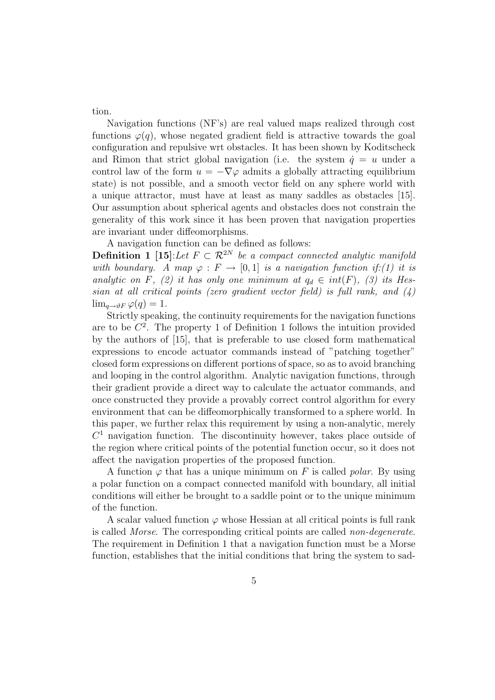tion.

Navigation functions (NF's) are real valued maps realized through cost functions  $\varphi(q)$ , whose negated gradient field is attractive towards the goal configuration and repulsive wrt obstacles. It has been shown by Koditscheck and Rimon that strict global navigation (i.e. the system  $\dot{q} = u$  under a control law of the form  $u = -\nabla \varphi$  admits a globally attracting equilibrium state) is not possible, and a smooth vector field on any sphere world with a unique attractor, must have at least as many saddles as obstacles [15]. Our assumption about spherical agents and obstacles does not constrain the generality of this work since it has been proven that navigation properties are invariant under diffeomorphisms.

A navigation function can be defined as follows:

**Definition 1** [15]:Let  $F \subset \mathbb{R}^{2N}$  be a compact connected analytic manifold with boundary. A map  $\varphi : F \to [0,1]$  is a navigation function if:(1) it is analytic on F, (2) it has only one minimum at  $q_d \in int(F)$ , (3) its Hessian at all critical points (zero gradient vector field) is full rank, and (4)  $\lim_{q\to\vartheta F}\varphi(q)=1.$ 

Strictly speaking, the continuity requirements for the navigation functions are to be  $C^2$ . The property 1 of Definition 1 follows the intuition provided by the authors of [15], that is preferable to use closed form mathematical expressions to encode actuator commands instead of "patching together" closed form expressions on different portions of space, so as to avoid branching and looping in the control algorithm. Analytic navigation functions, through their gradient provide a direct way to calculate the actuator commands, and once constructed they provide a provably correct control algorithm for every environment that can be diffeomorphically transformed to a sphere world. In this paper, we further relax this requirement by using a non-analytic, merely  $C<sup>1</sup>$  navigation function. The discontinuity however, takes place outside of the region where critical points of the potential function occur, so it does not affect the navigation properties of the proposed function.

A function  $\varphi$  that has a unique minimum on F is called *polar*. By using a polar function on a compact connected manifold with boundary, all initial conditions will either be brought to a saddle point or to the unique minimum of the function.

A scalar valued function  $\varphi$  whose Hessian at all critical points is full rank is called Morse. The corresponding critical points are called non-degenerate. The requirement in Definition 1 that a navigation function must be a Morse function, establishes that the initial conditions that bring the system to sad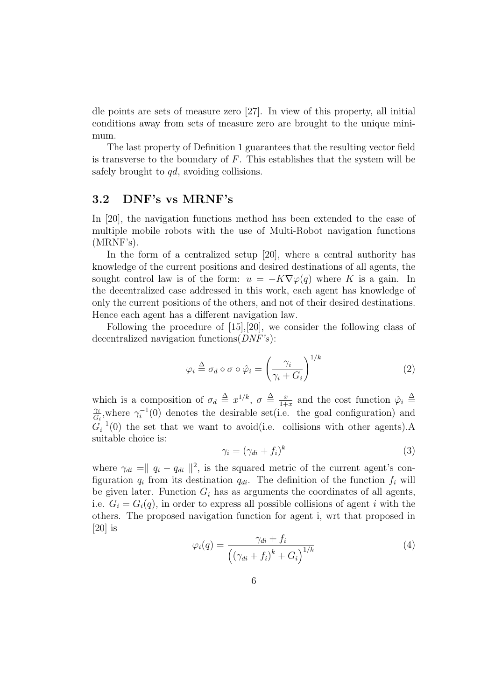dle points are sets of measure zero [27]. In view of this property, all initial conditions away from sets of measure zero are brought to the unique minimum.

The last property of Definition 1 guarantees that the resulting vector field is transverse to the boundary of  $F$ . This establishes that the system will be safely brought to *qd*, avoiding collisions.

#### 3.2 DNF's vs MRNF's

In [20], the navigation functions method has been extended to the case of multiple mobile robots with the use of Multi-Robot navigation functions (MRNF's).

In the form of a centralized setup [20], where a central authority has knowledge of the current positions and desired destinations of all agents, the sought control law is of the form:  $u = -K\nabla\varphi(q)$  where K is a gain. In the decentralized case addressed in this work, each agent has knowledge of only the current positions of the others, and not of their desired destinations. Hence each agent has a different navigation law.

Following the procedure of [15],[20], we consider the following class of decentralized navigation functions  $(DNF's)$ :

$$
\varphi_i \stackrel{\Delta}{=} \sigma_d \circ \sigma \circ \hat{\varphi}_i = \left(\frac{\gamma_i}{\gamma_i + G_i}\right)^{1/k} \tag{2}
$$

which is a composition of  $\sigma_d \triangleq x^{1/k}$ ,  $\sigma \triangleq \frac{x}{1+k}$  $\frac{x}{1+x}$  and the cost function  $\hat{\varphi}_i \triangleq$  $\gamma_i$  $\frac{\gamma_i}{G_i}$ , where  $\gamma_i^{-1}(0)$  denotes the desirable set (i.e. the goal configuration) and  $G_i^{-1}(0)$  the set that we want to avoid(i.e. collisions with other agents).A suitable choice is:

$$
\gamma_i = (\gamma_{di} + f_i)^k \tag{3}
$$

where  $\gamma_{di} = ||q_i - q_{di}||^2$ , is the squared metric of the current agent's configuration  $q_i$  from its destination  $q_{di}$ . The definition of the function  $f_i$  will be given later. Function  $G_i$  has as arguments the coordinates of all agents, i.e.  $G_i = G_i(q)$ , in order to express all possible collisions of agent i with the others. The proposed navigation function for agent i, wrt that proposed in  $[20]$  is

$$
\varphi_i(q) = \frac{\gamma_{di} + f_i}{\left(\left(\gamma_{di} + f_i\right)^k + G_i\right)^{1/k}} \tag{4}
$$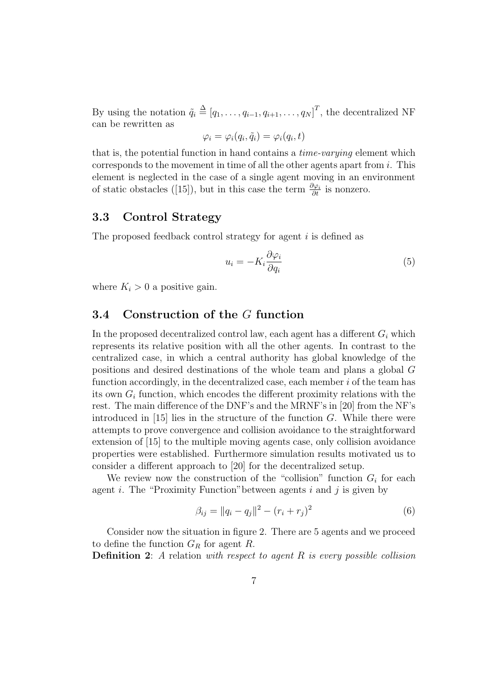By using the notation  $\tilde{q}_i \stackrel{\Delta}{=} [q_1, \ldots, q_{i-1}, q_{i+1}, \ldots, q_N]^T$ , the decentralized NF can be rewritten as

$$
\varphi_i = \varphi_i(q_i, \tilde{q}_i) = \varphi_i(q_i, t)
$$

that is, the potential function in hand contains a time-varying element which corresponds to the movement in time of all the other agents apart from  $i$ . This element is neglected in the case of a single agent moving in an environment of static obstacles ([15]), but in this case the term  $\frac{\partial \varphi_i}{\partial t}$  is nonzero.

#### 3.3 Control Strategy

The proposed feedback control strategy for agent  $i$  is defined as

$$
u_i = -K_i \frac{\partial \varphi_i}{\partial q_i} \tag{5}
$$

where  $K_i > 0$  a positive gain.

#### 3.4 Construction of the G function

In the proposed decentralized control law, each agent has a different  $G_i$  which represents its relative position with all the other agents. In contrast to the centralized case, in which a central authority has global knowledge of the positions and desired destinations of the whole team and plans a global G function accordingly, in the decentralized case, each member  $i$  of the team has its own  $G_i$  function, which encodes the different proximity relations with the rest. The main difference of the DNF's and the MRNF's in [20] from the NF's introduced in  $[15]$  lies in the structure of the function G. While there were attempts to prove convergence and collision avoidance to the straightforward extension of [15] to the multiple moving agents case, only collision avoidance properties were established. Furthermore simulation results motivated us to consider a different approach to [20] for the decentralized setup.

We review now the construction of the "collision" function  $G_i$  for each agent *i*. The "Proximity Function" between agents *i* and *j* is given by

$$
\beta_{ij} = ||q_i - q_j||^2 - (r_i + r_j)^2 \tag{6}
$$

Consider now the situation in figure 2. There are 5 agents and we proceed to define the function  $G_R$  for agent R.

**Definition 2:** A relation with respect to agent  $R$  is every possible collision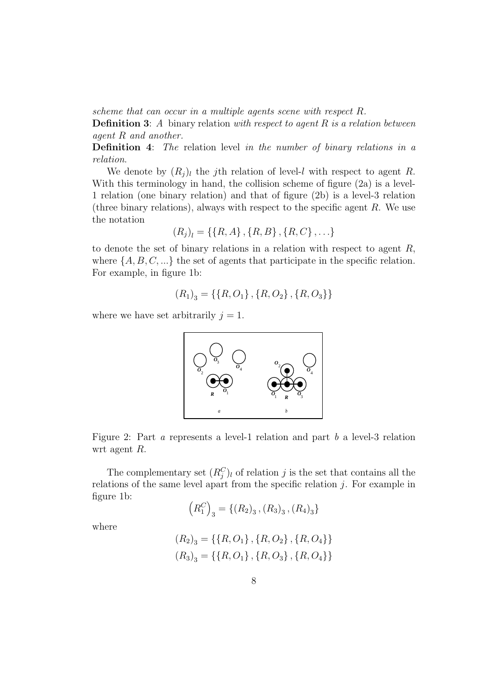scheme that can occur in a multiple agents scene with respect R.

**Definition 3:** A binary relation with respect to agent  $R$  is a relation between agent R and another.

Definition 4: The relation level in the number of binary relations in a relation.

We denote by  $(R_j)_l$  the j<sup>th</sup> relation of level-l with respect to agent R. With this terminology in hand, the collision scheme of figure  $(2a)$  is a level-1 relation (one binary relation) and that of figure (2b) is a level-3 relation (three binary relations), always with respect to the specific agent  $R$ . We use the notation

$$
(R_j)_l = \{\{R, A\}, \{R, B\}, \{R, C\}, \ldots\}
$$

to denote the set of binary relations in a relation with respect to agent  $R$ , where  $\{A, B, C, \ldots\}$  the set of agents that participate in the specific relation. For example, in figure 1b:

$$
(R_1)_3 = \{ \{R, O_1\}, \{R, O_2\}, \{R, O_3\} \}
$$

where we have set arbitrarily  $j = 1$ .



Figure 2: Part a represents a level-1 relation and part b a level-3 relation wrt agent R.

The complementary set  $(R_j^C)_l$  of relation j is the set that contains all the relations of the same level apart from the specific relation  $j$ . For example in figure 1b:  $\overline{a}$ ´

$$
(R_1^C)_3 = \{(R_2)_3, (R_3)_3, (R_4)_3\}
$$

$$
(R_2)_3 = \{\{R, O_1\}, \{R, O_2\}, \{R, O_4\}\}\
$$

$$
(R_3)_3 = \{\{R, O_1\}, \{R, O_3\}, \{R, O_4\}\}\
$$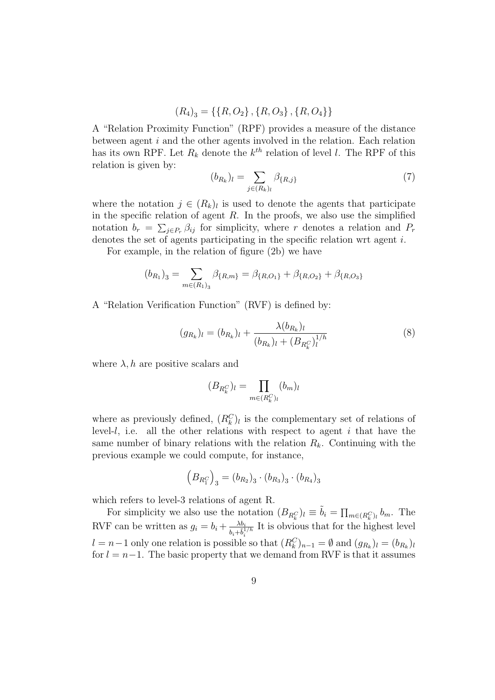$$
(R_4)_3 = \{ \{R, O_2\}, \{R, O_3\}, \{R, O_4\} \}
$$

A "Relation Proximity Function" (RPF) provides a measure of the distance between agent i and the other agents involved in the relation. Each relation has its own RPF. Let  $R_k$  denote the  $k^{th}$  relation of level l. The RPF of this relation is given by:  $\overline{\phantom{a}}$ 

$$
(b_{R_k})_l = \sum_{j \in (R_k)_l} \beta_{\{R,j\}} \tag{7}
$$

where the notation  $j \in (R_k)_l$  is used to denote the agents that participate in the specific relation of agent  $R$ . In the proofs, we also use the simplified notation  $b_r = \sum_{j \in P_r} \beta_{ij}$  for simplicity, where r denotes a relation and  $P_r$ denotes the set of agents participating in the specific relation wrt agent i.

For example, in the relation of figure (2b) we have

$$
(b_{R_1})_3 = \sum_{m \in (R_1)_3} \beta_{\{R,m\}} = \beta_{\{R,O_1\}} + \beta_{\{R,O_2\}} + \beta_{\{R,O_3\}}
$$

A "Relation Verification Function" (RVF) is defined by:

$$
(g_{R_k})_l = (b_{R_k})_l + \frac{\lambda(b_{R_k})_l}{(b_{R_k})_l + (B_{R_k^C})_l^{1/h}}
$$
\n(8)

where  $\lambda$ , h are positive scalars and

$$
(B_{R_k^C})_l = \prod_{m \in (R_k^C)_l} (b_m)_l
$$

where as previously defined,  $(R_k^C)_l$  is the complementary set of relations of level- $l$ , i.e. all the other relations with respect to agent  $i$  that have the same number of binary relations with the relation  $R_k$ . Continuing with the previous example we could compute, for instance,

$$
(B_{R_1^C})_3 = (b_{R_2})_3 \cdot (b_{R_3})_3 \cdot (b_{R_4})_3
$$

which refers to level-3 relations of agent R.

For simplicity we also use the notation  $(B_{R_k^C})_l \equiv \tilde{b}_i = \prod$  $_{m\in(R_k^C)_l}$   $b_m$ . The RVF can be written as  $g_i = b_i + \frac{\lambda b_i}{\lambda + \overline{i}^1}$  $b_i + \tilde{b}_i^{1/h}$ It is obvious that for the highest level  $l = n-1$  only one relation is possible so that  $(R_k^C)_{n-1} = \emptyset$  and  $(g_{R_k})_l = (b_{R_k})_l$ for  $l = n-1$ . The basic property that we demand from RVF is that it assumes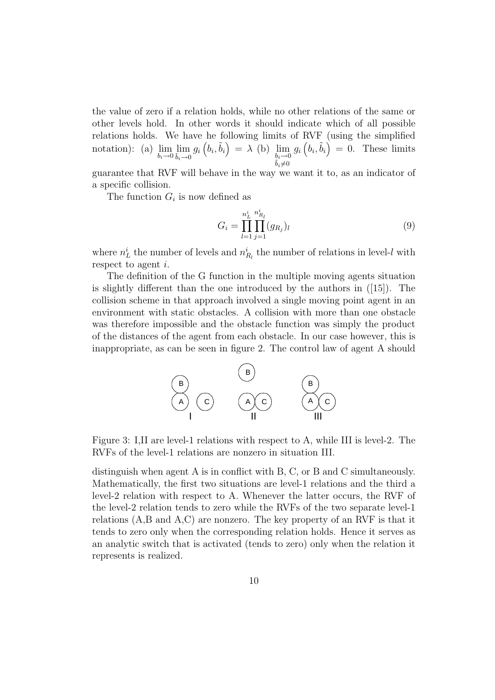the value of zero if a relation holds, while no other relations of the same or other levels hold. In other words it should indicate which of all possible relations holds. We have he following limits of RVF (using the simplified notation): (a)  $\lim_{b_i \to 0} \lim_{\tilde{b}_i \to 0} g_i$ ³  $\left( b_{i},\tilde{b}_{i}\right)$  $= \lambda$  (b)  $\lim_{b_i \to 0}$  $\tilde{b}_i \neq 0$ gi  $\mathbf{E}$  $\left( \begin{matrix} b_i, b_i \end{matrix} \right)$  $= 0$ . These limits

guarantee that RVF will behave in the way we want it to, as an indicator of a specific collision.

The function  $G_i$  is now defined as

$$
G_i = \prod_{l=1}^{n_L^i} \prod_{j=1}^{n_{R_l}^i} (g_{R_j})_l
$$
\n(9)

where  $n_L^i$  the number of levels and  $n_{R_l}^i$  the number of relations in level-l with respect to agent i.

The definition of the G function in the multiple moving agents situation is slightly different than the one introduced by the authors in ([15]). The collision scheme in that approach involved a single moving point agent in an environment with static obstacles. A collision with more than one obstacle was therefore impossible and the obstacle function was simply the product of the distances of the agent from each obstacle. In our case however, this is inappropriate, as can be seen in figure 2. The control law of agent A should



Figure 3: I,II are level-1 relations with respect to A, while III is level-2. The RVFs of the level-1 relations are nonzero in situation III.

distinguish when agent A is in conflict with B, C, or B and C simultaneously. Mathematically, the first two situations are level-1 relations and the third a level-2 relation with respect to A. Whenever the latter occurs, the RVF of the level-2 relation tends to zero while the RVFs of the two separate level-1 relations (A,B and A,C) are nonzero. The key property of an RVF is that it tends to zero only when the corresponding relation holds. Hence it serves as an analytic switch that is activated (tends to zero) only when the relation it represents is realized.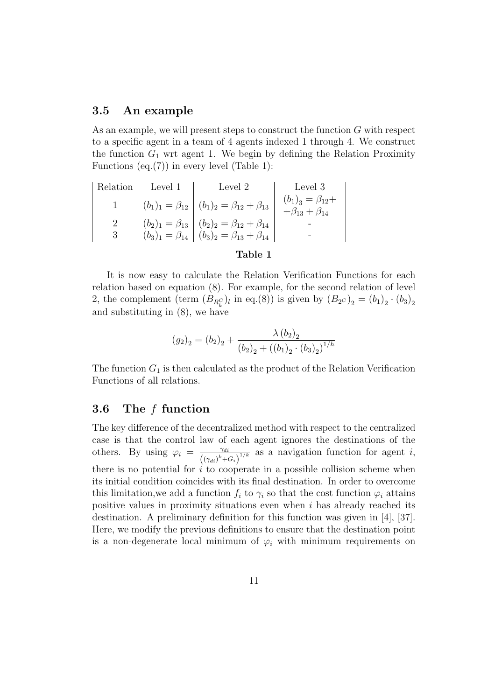#### 3.5 An example

As an example, we will present steps to construct the function G with respect to a specific agent in a team of 4 agents indexed 1 through 4. We construct the function  $G_1$  wrt agent 1. We begin by defining the Relation Proximity Functions  $(eq.(7))$  in every level (Table 1):

|               | Relation Level 1 | Level 2                                                                                                                                                                        | $\vert$ Level 3                                        |
|---------------|------------------|--------------------------------------------------------------------------------------------------------------------------------------------------------------------------------|--------------------------------------------------------|
|               |                  | $ (b_1)_1 = \beta_{12}   (b_1)_2 = \beta_{12} + \beta_{13}  $                                                                                                                  | $(b_1)_3 = \beta_{12} +$<br>$+\beta_{13} + \beta_{14}$ |
|               |                  | $\begin{vmatrix} (b_2)_1 = \beta_{13} \\ (b_3)_1 = \beta_{14} \end{vmatrix}$ $(b_2)_2 = \beta_{12} + \beta_{14}$<br>$(b_3)_1 = \beta_{14}$ $(b_3)_2 = \beta_{13} + \beta_{14}$ |                                                        |
| $\mathcal{S}$ |                  |                                                                                                                                                                                |                                                        |

#### Table 1

It is now easy to calculate the Relation Verification Functions for each relation based on equation (8). For example, for the second relation of level 2, the complement (term  $(B_{R_k^C})_l$  in eq.(8)) is given by  $(B_{2^C})_2 = (b_1)_2 \cdot (b_3)_2$ and substituting in (8), we have

$$
(g_2)_2 = (b_2)_2 + \frac{\lambda (b_2)_2}{(b_2)_2 + ((b_1)_2 \cdot (b_3)_2)^{1/h}}
$$

The function  $G_1$  is then calculated as the product of the Relation Verification Functions of all relations.

#### 3.6 The f function

The key difference of the decentralized method with respect to the centralized case is that the control law of each agent ignores the destinations of the others. By using  $\varphi_i = \frac{\gamma_{di}}{(\gamma - \gamma)^k}$  $\frac{\gamma_{di}}{(\left(\gamma_{di}\right)^k + G_i)^{1/k}}$  as a navigation function for agent *i*, there is no potential for  $i$  to cooperate in a possible collision scheme when its initial condition coincides with its final destination. In order to overcome this limitation, we add a function  $f_i$  to  $\gamma_i$  so that the cost function  $\varphi_i$  attains positive values in proximity situations even when  $i$  has already reached its destination. A preliminary definition for this function was given in [4], [37]. Here, we modify the previous definitions to ensure that the destination point is a non-degenerate local minimum of  $\varphi_i$  with minimum requirements on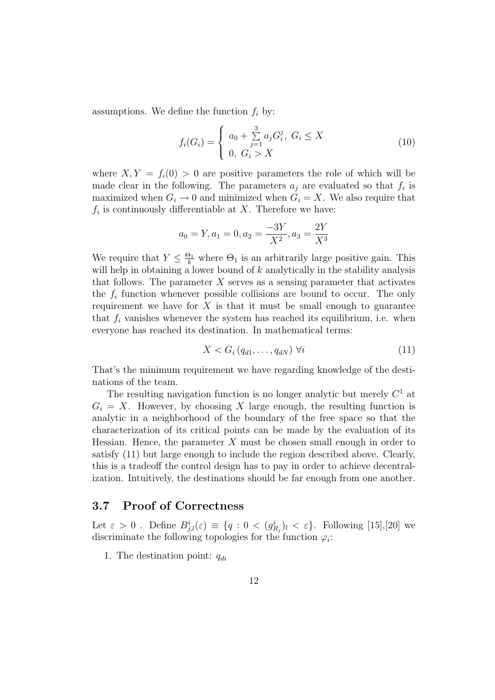assumptions. We define the function  $f_i$  by:

$$
f_i(G_i) = \begin{cases} a_0 + \sum_{j=1}^3 a_j G_i^j, \ G_i \le X \\ 0, \ G_i > X \end{cases}
$$
 (10)

where  $X, Y = f_i(0) > 0$  are positive parameters the role of which will be made clear in the following. The parameters  $a_j$  are evaluated so that  $f_i$  is maximized when  $G_i \to 0$  and minimized when  $G_i = X$ . We also require that  $f_i$  is continuously differentiable at X. Therefore we have:

$$
a_0 = Y, a_1 = 0, a_2 = \frac{-3Y}{X^2}, a_3 = \frac{2Y}{X^3}
$$

We require that  $Y \leq \frac{\Theta_1}{k}$  where  $\Theta_1$  is an arbitrarily large positive gain. This will help in obtaining a lower bound of  $k$  analytically in the stability analysis that follows. The parameter  $X$  serves as a sensing parameter that activates the  $f_i$  function whenever possible collisions are bound to occur. The only requirement we have for  $X$  is that it must be small enough to guarantee that  $f_i$  vanishes whenever the system has reached its equilibrium, i.e. when everyone has reached its destination. In mathematical terms:

$$
X < G_i \left( q_{d1}, \dots, q_{dN} \right) \, \forall i \tag{11}
$$

That's the minimum requirement we have regarding knowledge of the destinations of the team.

The resulting navigation function is no longer analytic but merely  $C<sup>1</sup>$  at  $G_i = X$ . However, by choosing X large enough, the resulting function is analytic in a neighborhood of the boundary of the free space so that the characterization of its critical points can be made by the evaluation of its Hessian. Hence, the parameter  $X$  must be chosen small enough in order to satisfy (11) but large enough to include the region described above. Clearly, this is a tradeoff the control design has to pay in order to achieve decentralization. Intuitively, the destinations should be far enough from one another.

#### 3.7 Proof of Correctness

Let  $\varepsilon > 0$ . Define  $B_{j,l}^i(\varepsilon) \equiv \{q : 0 < (g_{R_j}^i)_l < \varepsilon\}$ . Following [15],[20] we discriminate the following topologies for the function  $\varphi_i$ :

1. The destination point:  $q_{di}$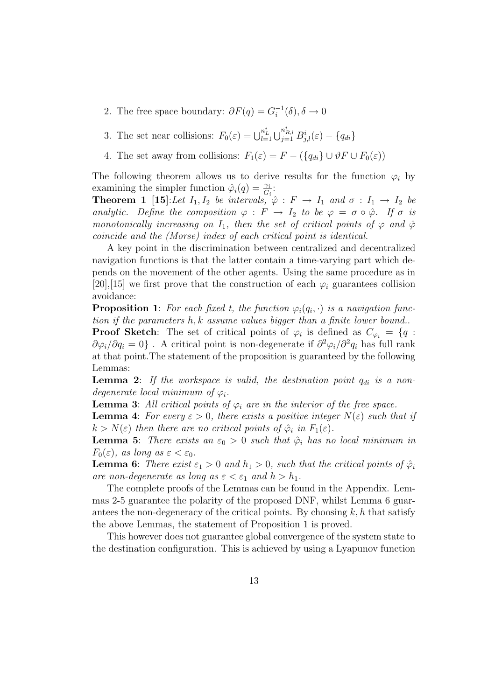- 2. The free space boundary:  $\partial F(q) = G_i^{-1}(\delta), \delta \to 0$
- 3. The set near collisions:  $F_0(\varepsilon) = \bigcup_{l=1}^{n_L^i}$  $\bigcup_{j=1}^{n_{R,l}^{i}} B_{j,l}^{i}(\varepsilon) - \{q_{di}\}$
- 4. The set away from collisions:  $F_1(\varepsilon) = F (\lbrace q_{di} \rbrace \cup \vartheta F \cup F_0(\varepsilon))$

The following theorem allows us to derive results for the function  $\varphi_i$  by examining the simpler function  $\hat{\varphi}_i(q) = \frac{\gamma_i}{G_i}$ :

**Theorem 1** [15]:Let  $I_1, I_2$  be intervals,  $\hat{\varphi}: F \to I_1$  and  $\sigma: I_1 \to I_2$  be analytic. Define the composition  $\varphi : F \to I_2$  to be  $\varphi = \sigma \circ \hat{\varphi}$ . If  $\sigma$  is monotonically increasing on  $I_1$ , then the set of critical points of  $\varphi$  and  $\hat{\varphi}$ coincide and the (Morse) index of each critical point is identical.

A key point in the discrimination between centralized and decentralized navigation functions is that the latter contain a time-varying part which depends on the movement of the other agents. Using the same procedure as in [20],[15] we first prove that the construction of each  $\varphi_i$  guarantees collision avoidance:

**Proposition 1**: For each fixed t, the function  $\varphi_i(q_i, \cdot)$  is a navigation function if the parameters h, k assume values bigger than a finite lower bound..

**Proof Sketch**: The set of critical points of  $\varphi_i$  is defined as  $C_{\varphi_i} = \{q :$  $\partial\varphi_i/\partial q_i=0\}$ . A critical point is non-degenerate if  $\partial^2\varphi_i/\partial^2 q_i$  has full rank at that point.The statement of the proposition is guaranteed by the following Lemmas:

**Lemma 2:** If the workspace is valid, the destination point  $q_{di}$  is a nondegenerate local minimum of  $\varphi_i$ .

**Lemma 3:** All critical points of  $\varphi_i$  are in the interior of the free space.

**Lemma 4:** For every  $\varepsilon > 0$ , there exists a positive integer  $N(\varepsilon)$  such that if  $k > N(\varepsilon)$  then there are no critical points of  $\hat{\varphi}_i$  in  $F_1(\varepsilon)$ .

**Lemma 5:** There exists an  $\varepsilon_0 > 0$  such that  $\hat{\varphi}_i$  has no local minimum in  $F_0(\varepsilon)$ , as long as  $\varepsilon < \varepsilon_0$ .

**Lemma 6:** There exist  $\varepsilon_1 > 0$  and  $h_1 > 0$ , such that the critical points of  $\hat{\varphi}_i$ are non-degenerate as long as  $\varepsilon < \varepsilon_1$  and  $h > h_1$ .

The complete proofs of the Lemmas can be found in the Appendix. Lemmas 2-5 guarantee the polarity of the proposed DNF, whilst Lemma 6 guarantees the non-degeneracy of the critical points. By choosing  $k, h$  that satisfy the above Lemmas, the statement of Proposition 1 is proved.

This however does not guarantee global convergence of the system state to the destination configuration. This is achieved by using a Lyapunov function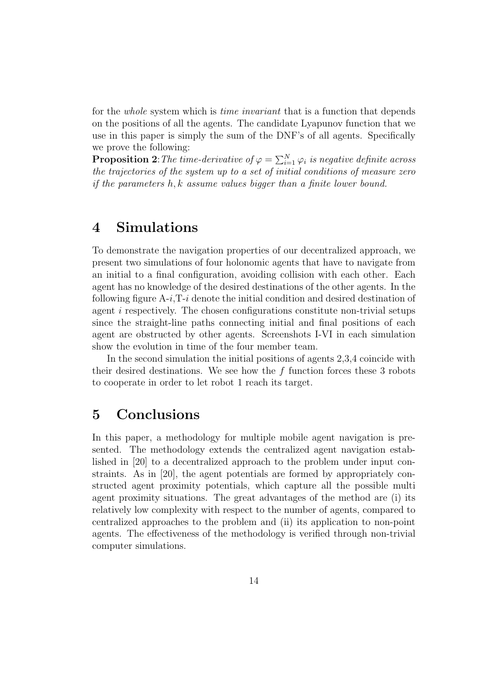for the *whole* system which is *time invariant* that is a function that depends on the positions of all the agents. The candidate Lyapunov function that we use in this paper is simply the sum of the DNF's of all agents. Specifically we prove the following:

**Proposition 2**: The time-derivative of  $\varphi = \sum_{i=1}^{N} \varphi_i$  is negative definite across the trajectories of the system up to a set of initial conditions of measure zero if the parameters h, k assume values bigger than a finite lower bound.

# 4 Simulations

To demonstrate the navigation properties of our decentralized approach, we present two simulations of four holonomic agents that have to navigate from an initial to a final configuration, avoiding collision with each other. Each agent has no knowledge of the desired destinations of the other agents. In the following figure  $A-i$ ,  $T-i$  denote the initial condition and desired destination of agent  $i$  respectively. The chosen configurations constitute non-trivial setups since the straight-line paths connecting initial and final positions of each agent are obstructed by other agents. Screenshots I-VI in each simulation show the evolution in time of the four member team.

In the second simulation the initial positions of agents 2,3,4 coincide with their desired destinations. We see how the  $f$  function forces these 3 robots to cooperate in order to let robot 1 reach its target.

## 5 Conclusions

In this paper, a methodology for multiple mobile agent navigation is presented. The methodology extends the centralized agent navigation established in [20] to a decentralized approach to the problem under input constraints. As in [20], the agent potentials are formed by appropriately constructed agent proximity potentials, which capture all the possible multi agent proximity situations. The great advantages of the method are (i) its relatively low complexity with respect to the number of agents, compared to centralized approaches to the problem and (ii) its application to non-point agents. The effectiveness of the methodology is verified through non-trivial computer simulations.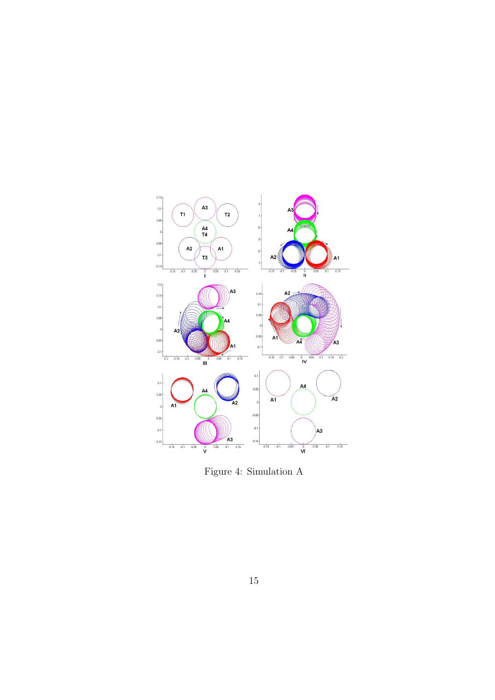

Figure 4: Simulation A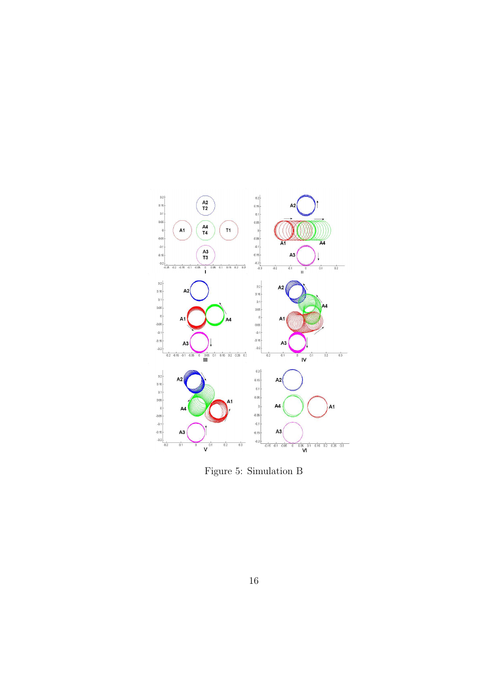

Figure 5: Simulation B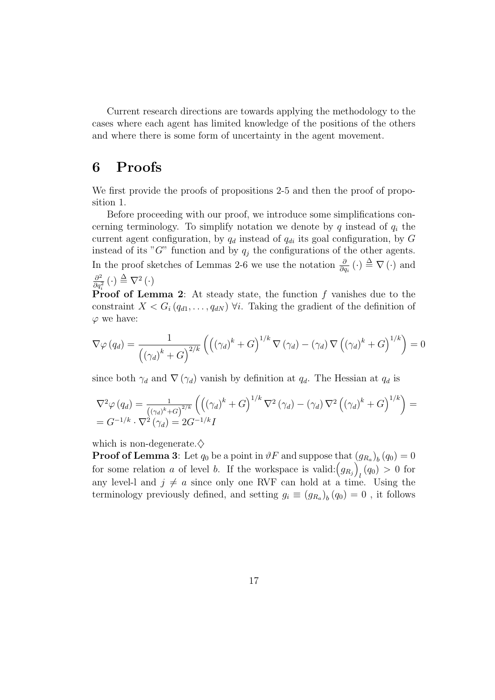Current research directions are towards applying the methodology to the cases where each agent has limited knowledge of the positions of the others and where there is some form of uncertainty in the agent movement.

### 6 Proofs

We first provide the proofs of propositions 2-5 and then the proof of proposition 1.

Before proceeding with our proof, we introduce some simplifications concerning terminology. To simplify notation we denote by  $q$  instead of  $q_i$  the current agent configuration, by  $q_d$  instead of  $q_{di}$  its goal configuration, by G instead of its " $G$ " function and by  $q_j$  the configurations of the other agents. In the proof sketches of Lemmas 2-6 we use the notation  $\frac{\partial}{\partial q_i}(\cdot) \triangleq \nabla(\cdot)$  and  $\partial^2$  $\frac{\partial^2}{\partial q_i^2}(\cdot) \stackrel{\Delta}{=} \nabla^2(\cdot)$ 

**Proof of Lemma 2:** At steady state, the function  $f$  vanishes due to the constraint  $X < G_i (q_{d1}, \ldots, q_{dN})$   $\forall i$ . Taking the gradient of the definition of  $\varphi$  we have:

$$
\nabla \varphi (q_d) = \frac{1}{\left( (\gamma_d)^k + G \right)^{2/k}} \left( \left( (\gamma_d)^k + G \right)^{1/k} \nabla (\gamma_d) - (\gamma_d) \nabla \left( (\gamma_d)^k + G \right)^{1/k} \right) = 0
$$

since both  $\gamma_d$  and  $\nabla$  ( $\gamma_d$ ) vanish by definition at  $q_d$ . The Hessian at  $q_d$  is

$$
\nabla^2 \varphi (q_d) = \frac{1}{\left( (\gamma_d)^k + G \right)^{2/k}} \left( \left( (\gamma_d)^k + G \right)^{1/k} \nabla^2 (\gamma_d) - (\gamma_d) \nabla^2 \left( (\gamma_d)^k + G \right)^{1/k} \right) =
$$
  
= 
$$
G^{-1/k} \cdot \nabla^2 (\gamma_d) = 2G^{-1/k} I
$$

which is non-degenerate. $\diamondsuit$ 

**Proof of Lemma 3**: Let  $q_0$  be a point in  $\vartheta F$  and suppose that  $(g_{R_a})_b(q_0) = 0$ for some relation a of level b. If the workspace is valid:  $(g_{R_j})_l(q_0) > 0$  for  $g_{R_j}(q_0) > 0$  for any level-l and  $j \neq a$  since only one RVF can hold at a time. Using the terminology previously defined, and setting  $g_i \equiv (g_{R_a})_b (q_0) = 0$ , it follows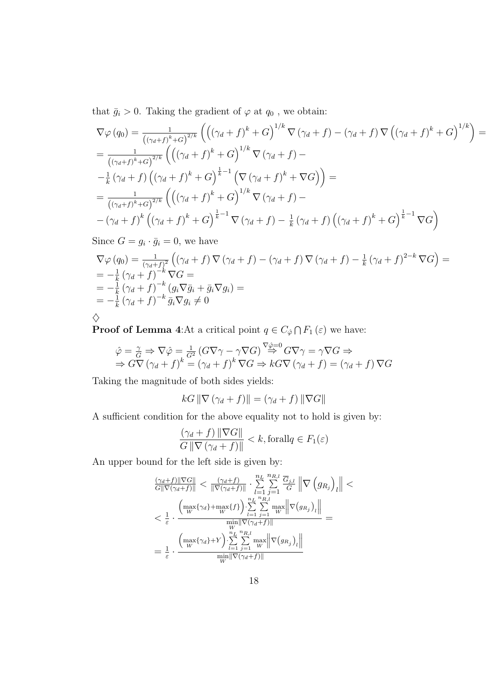that  $\bar{g}_i > 0$ . Taking the gradient of  $\varphi$  at  $q_0$ , we obtain:

$$
\nabla \varphi (q_0) = \frac{1}{\left( (\gamma_d + f)^k + G \right)^{2/k}} \left( \left( (\gamma_d + f)^k + G \right)^{1/k} \nabla (\gamma_d + f) - (\gamma_d + f) \nabla \left( (\gamma_d + f)^k + G \right)^{1/k} \right) =
$$
  
\n
$$
= \frac{1}{\left( (\gamma_d + f)^k + G \right)^{2/k}} \left( \left( (\gamma_d + f)^k + G \right)^{1/k} \nabla (\gamma_d + f) -
$$
  
\n
$$
- \frac{1}{k} (\gamma_d + f) \left( (\gamma_d + f)^k + G \right)^{\frac{1}{k}-1} \left( \nabla (\gamma_d + f)^k + \nabla G \right) \right) =
$$
  
\n
$$
= \frac{1}{\left( (\gamma_d + f)^k + G \right)^{2/k}} \left( \left( (\gamma_d + f)^k + G \right)^{1/k} \nabla (\gamma_d + f) -
$$
  
\n
$$
- (\gamma_d + f)^k \left( (\gamma_d + f)^k + G \right)^{\frac{1}{k}-1} \nabla (\gamma_d + f) - \frac{1}{k} (\gamma_d + f) \left( (\gamma_d + f)^k + G \right)^{\frac{1}{k}-1} \nabla G \right)
$$

Since  $G = g_i \cdot \bar{g}_i = 0$ , we have

$$
\nabla \varphi (q_0) = \frac{1}{(\gamma_d + f)^2} \left( (\gamma_d + f) \nabla (\gamma_d + f) - (\gamma_d + f) \nabla (\gamma_d + f) - \frac{1}{k} (\gamma_d + f)^{2-k} \nabla G \right) =
$$
\n
$$
= -\frac{1}{k} (\gamma_d + f)^{-k} \nabla G =
$$
\n
$$
= -\frac{1}{k} (\gamma_d + f)^{-k} (g_i \nabla \bar{g}_i + \bar{g}_i \nabla g_i) =
$$
\n
$$
= -\frac{1}{k} (\gamma_d + f)^{-k} \bar{g}_i \nabla g_i \neq 0
$$
\n
$$
\diamondsuit
$$

Proof of Lemma 4:At a critical point  $q \in C_{\hat{\varphi}} \cap F_1(\varepsilon)$  we have:

$$
\hat{\varphi} = \frac{\gamma}{G} \Rightarrow \nabla \hat{\varphi} = \frac{1}{G^2} \left( G \nabla \gamma - \gamma \nabla G \right)^{\nabla \hat{\varphi} = 0} G \nabla \gamma = \gamma \nabla G \Rightarrow \Rightarrow G \nabla \left( \gamma_d + f \right)^k = \left( \gamma_d + f \right)^k \nabla G \Rightarrow k G \nabla \left( \gamma_d + f \right) = \left( \gamma_d + f \right) \nabla G
$$

Taking the magnitude of both sides yields:

$$
kG \|\nabla (\gamma_d + f)\| = (\gamma_d + f) \|\nabla G\|
$$

A sufficient condition for the above equality not to hold is given by:

$$
\frac{(\gamma_d + f) \|\nabla G\|}{G \|\nabla (\gamma_d + f)\|} < k, \text{for all } q \in F_1(\varepsilon)
$$

An upper bound for the left side is given by:

$$
\begin{aligned} &\frac{(\gamma_d + f)\|\nabla G\|}{G\|\nabla(\gamma_d + f)\|} < \frac{(\gamma_d + f)}{\|\nabla(\gamma_d + f)\|} \cdot \sum\limits_{l=1}^{n_L} \sum\limits_{j=1}^{n_{R,l}} \frac{\overline{G}_{j,l}}{G}\left\|\nabla \left(g_{R_j}\right)_l\right\| < \\ &< \frac{1}{\varepsilon} \cdot \frac{\left(\max\{\gamma_d\} + \max\{f\}\right) \cdot \sum\limits_{l=1}^{n_L} \sum\limits_{j=1}^{n_{R,l}} \max\left\|\nabla \left(g_{R_j}\right)_l\right\|}{\min\limits_{W} \|\nabla(\gamma_d + f)\|} = \\ &= \frac{1}{\varepsilon} \cdot \frac{\left(\max\{\gamma_d\} + Y\right) \cdot \sum\limits_{l=1}^{n_L} \sum\limits_{j=1}^{n_{R,l}} \max\left\|\nabla \left(g_{R_j}\right)_l\right\|}{\min\limits_{W} \|\nabla(\gamma_d + f)\|} \end{aligned}
$$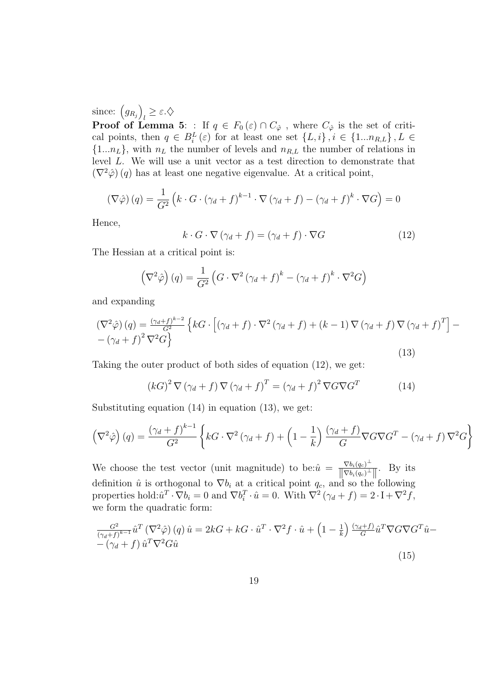since:  $(g_{R_j})$ ´  $\mathbf{0}_l \geq \varepsilon.\diamondsuit$ 

**Proof of Lemma 5:** : If  $q \in F_0(\varepsilon) \cap C_\phi$ , where  $C_\phi$  is the set of critical points, then  $q \in B_i^L(\varepsilon)$  for at least one set  $\{L, i\}$ ,  $i \in \{1...n_{R,L}\}, L \in$  ${1...n<sub>L</sub>},$  with  $n<sub>L</sub>$  the number of levels and  $n<sub>R,L</sub>$  the number of relations in level L. We will use a unit vector as a test direction to demonstrate that  $(\nabla^2 \hat{\varphi})$  (q) has at least one negative eigenvalue. At a critical point,

$$
\left(\nabla\hat{\varphi}\right)(q) = \frac{1}{G^2} \left(k \cdot G \cdot \left(\gamma_d + f\right)^{k-1} \cdot \nabla \left(\gamma_d + f\right) - \left(\gamma_d + f\right)^k \cdot \nabla G\right) = 0
$$

Hence,

$$
k \cdot G \cdot \nabla (\gamma_d + f) = (\gamma_d + f) \cdot \nabla G \tag{12}
$$

The Hessian at a critical point is:

$$
(\nabla^2 \hat{\varphi}) (q) = \frac{1}{G^2} (G \cdot \nabla^2 (\gamma_d + f)^k - (\gamma_d + f)^k \cdot \nabla^2 G)
$$

and expanding

$$
\left(\nabla^2 \hat{\varphi}\right)(q) = \frac{(\gamma_d + f)^{k-2}}{G^2} \left\{ kG \cdot \left[ (\gamma_d + f) \cdot \nabla^2 \left( \gamma_d + f \right) + (k-1) \nabla \left( \gamma_d + f \right) \nabla \left( \gamma_d + f \right)^T \right] - (\gamma_d + f)^2 \nabla^2 G \right\}
$$
\n
$$
(13)
$$

Taking the outer product of both sides of equation (12), we get:

$$
(kG)^{2} \nabla (\gamma_{d} + f) \nabla (\gamma_{d} + f)^{T} = (\gamma_{d} + f)^{2} \nabla G \nabla G^{T}
$$
 (14)

Substituting equation (14) in equation (13), we get:

$$
\left(\nabla^2 \hat{\varphi}\right)(q) = \frac{\left(\gamma_d + f\right)^{k-1}}{G^2} \left\{ kG \cdot \nabla^2 \left(\gamma_d + f\right) + \left(1 - \frac{1}{k}\right) \frac{\left(\gamma_d + f\right)}{G} \nabla G \nabla G^T - \left(\gamma_d + f\right) \nabla^2 G \right\}
$$

We choose the test vector (unit magnitude) to be: $\hat{u} = \frac{\nabla b_i(q_c)^{\perp}}{\|\nabla b_i(q_c)^{\perp}}$  $\frac{\nabla b_i(q_c)^{\perp}}{\|\nabla b_i(q_c)^{\perp}\|}$ . By its definition  $\hat{u}$  is orthogonal to  $\nabla b_i$  at a critical point  $q_c$ , and so the following properties hold: $\hat{u}^T \cdot \nabla b_i = 0$  and  $\nabla b_i^T \cdot \hat{u} = 0$ . With  $\nabla^2 (\gamma_d + f) = 2 \cdot I + \nabla^2 f$ , we form the quadratic form:

$$
\frac{G^2}{(\gamma_d + f)^{k-1}} \hat{u}^T (\nabla^2 \hat{\varphi}) (q) \hat{u} = 2kG + kG \cdot \hat{u}^T \cdot \nabla^2 f \cdot \hat{u} + \left(1 - \frac{1}{k}\right) \frac{(\gamma_d + f)}{G} \hat{u}^T \nabla G \nabla G^T \hat{u} - \left(\gamma_d + f\right) \hat{u}^T \nabla^2 G \hat{u}
$$
\n(15)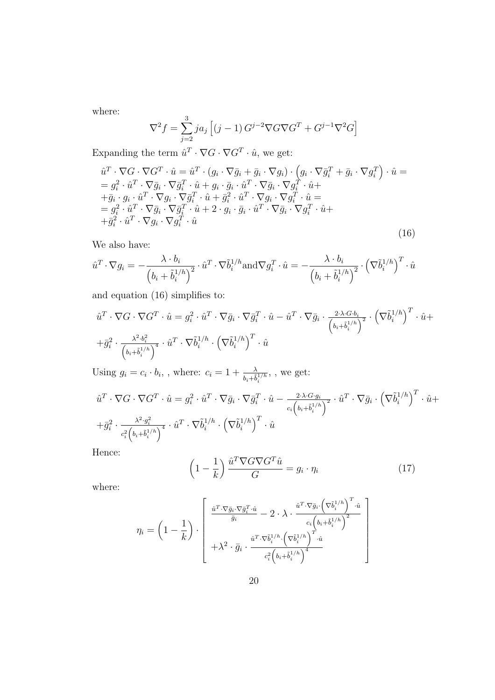where:

$$
\nabla^2 f = \sum_{j=2}^3 j a_j \left[ (j-1) G^{j-2} \nabla G \nabla G^T + G^{j-1} \nabla^2 G \right]
$$

Expanding the term  $\hat{u}^T \cdot \nabla G \cdot \nabla G^T \cdot \hat{u}$ , we get:

$$
\hat{u}^T \cdot \nabla G \cdot \nabla G^T \cdot \hat{u} = \hat{u}^T \cdot (g_i \cdot \nabla \bar{g}_i + \bar{g}_i \cdot \nabla g_i) \cdot (g_i \cdot \nabla \bar{g}_i^T + \bar{g}_i \cdot \nabla g_i^T) \cdot \hat{u} =
$$
\n
$$
= g_i^2 \cdot \hat{u}^T \cdot \nabla \bar{g}_i \cdot \nabla \bar{g}_i^T \cdot \hat{u} + g_i \cdot \bar{g}_i \cdot \hat{u}^T \cdot \nabla \bar{g}_i \cdot \nabla g_i^T \cdot \hat{u} +
$$
\n
$$
+ \bar{g}_i \cdot g_i \cdot \hat{u}^T \cdot \nabla g_i \cdot \nabla \bar{g}_i^T \cdot \hat{u} + \bar{g}_i^2 \cdot \hat{u}^T \cdot \nabla g_i \cdot \nabla g_i^T \cdot \hat{u} =
$$
\n
$$
= g_i^2 \cdot \hat{u}^T \cdot \nabla \bar{g}_i \cdot \nabla \bar{g}_i^T \cdot \hat{u} + 2 \cdot g_i \cdot \bar{g}_i \cdot \hat{u}^T \cdot \nabla \bar{g}_i \cdot \nabla g_i^T \cdot \hat{u} +
$$
\n
$$
+ \bar{g}_i^2 \cdot \hat{u}^T \cdot \nabla g_i \cdot \nabla g_i^T \cdot \hat{u}
$$
\n(16)

We also have:

$$
\hat{u}^T \cdot \nabla g_i = -\frac{\lambda \cdot b_i}{\left(b_i + \tilde{b}_i^{1/h}\right)^2} \cdot \hat{u}^T \cdot \nabla \tilde{b}_i^{1/h} \text{and} \nabla g_i^T \cdot \hat{u} = -\frac{\lambda \cdot b_i}{\left(b_i + \tilde{b}_i^{1/h}\right)^2} \cdot \left(\nabla \tilde{b}_i^{1/h}\right)^T \cdot \hat{u}
$$

and equation (16) simplifies to:

$$
\hat{u}^T \cdot \nabla G \cdot \nabla G^T \cdot \hat{u} = g_i^2 \cdot \hat{u}^T \cdot \nabla \bar{g}_i \cdot \nabla \bar{g}_i^T \cdot \hat{u} - \hat{u}^T \cdot \nabla \bar{g}_i \cdot \frac{2 \cdot \lambda \cdot G \cdot b_i}{\left(b_i + \hat{b}_i^{1/h}\right)^2} \cdot \left(\nabla \tilde{b}_i^{1/h}\right)^T \cdot \hat{u} + \frac{1}{\left(b_i + \hat{b}_i^{1/h}\right)^4} \cdot \hat{u}^T \cdot \nabla \tilde{b}_i^{1/h} \cdot \left(\nabla \tilde{b}_i^{1/h}\right)^T \cdot \hat{u}
$$

Using  $g_i = c_i \cdot b_i$ , where:  $c_i = 1 + \frac{\lambda}{b_i + \tilde{b}_i^{1/h}}$ , , we get:

$$
\hat{u}^T \cdot \nabla G \cdot \nabla G^T \cdot \hat{u} = g_i^2 \cdot \hat{u}^T \cdot \nabla \bar{g}_i \cdot \nabla \bar{g}_i^T \cdot \hat{u} - \frac{2 \cdot \lambda \cdot G \cdot g_i}{c_i \left(b_i + \hat{b}_i^{1/h}\right)^2} \cdot \hat{u}^T \cdot \nabla \bar{g}_i \cdot \left(\nabla \tilde{b}_i^{1/h}\right)^T \cdot \hat{u} +
$$
\n
$$
+ \bar{g}_i^2 \cdot \frac{\lambda^2 \cdot g_i^2}{c_i^2 \left(b_i + \hat{b}_i^{1/h}\right)^4} \cdot \hat{u}^T \cdot \nabla \tilde{b}_i^{1/h} \cdot \left(\nabla \tilde{b}_i^{1/h}\right)^T \cdot \hat{u}
$$

Hence:

$$
\left(1 - \frac{1}{k}\right) \frac{\hat{u}^T \nabla G \nabla G^T \hat{u}}{G} = g_i \cdot \eta_i \tag{17}
$$

$$
\eta_i = \left(1 - \frac{1}{k}\right) \cdot \left[\begin{array}{c} \frac{\hat{u}^T \cdot \nabla \bar{g}_i \cdot \nabla \bar{g}_i^T \cdot \hat{u}}{\bar{g}_i} - 2 \cdot \lambda \cdot \frac{\hat{u}^T \cdot \nabla \bar{g}_i \cdot \left(\nabla \tilde{b}_i^{1/h}\right)^T \cdot \hat{u}}{c_i \left(b_i + \tilde{b}_i^{1/h}\right)^2} \\ + \lambda^2 \cdot \bar{g}_i \cdot \frac{\hat{u}^T \cdot \nabla \tilde{b}_i^{1/h} \cdot \left(\nabla \tilde{b}_i^{1/h}\right)^T \cdot \hat{u}}{c_i^2 \left(b_i + \tilde{b}_i^{1/h}\right)^4} \end{array}\right]
$$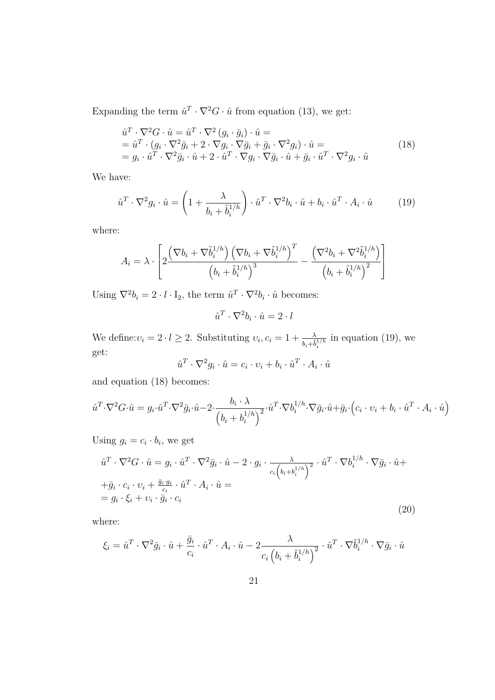Expanding the term  $\hat{u}^T \cdot \nabla^2 G \cdot \hat{u}$  from equation (13), we get:

$$
\hat{u}^T \cdot \nabla^2 G \cdot \hat{u} = \hat{u}^T \cdot \nabla^2 (g_i \cdot \bar{g}_i) \cdot \hat{u} =
$$
\n
$$
= \hat{u}^T \cdot (g_i \cdot \nabla^2 \bar{g}_i + 2 \cdot \nabla g_i \cdot \nabla \bar{g}_i + \bar{g}_i \cdot \nabla^2 g_i) \cdot \hat{u} =
$$
\n
$$
= g_i \cdot \hat{u}^T \cdot \nabla^2 \bar{g}_i \cdot \hat{u} + 2 \cdot \hat{u}^T \cdot \nabla g_i \cdot \nabla \bar{g}_i \cdot \hat{u} + \bar{g}_i \cdot \hat{u}^T \cdot \nabla^2 g_i \cdot \hat{u}
$$
\n(18)

We have:

$$
\hat{u}^T \cdot \nabla^2 g_i \cdot \hat{u} = \left( 1 + \frac{\lambda}{b_i + \tilde{b}_i^{1/h}} \right) \cdot \hat{u}^T \cdot \nabla^2 b_i \cdot \hat{u} + b_i \cdot \hat{u}^T \cdot A_i \cdot \hat{u} \tag{19}
$$

where:

$$
A_i = \lambda \cdot \left[ 2 \frac{\left(\nabla b_i + \nabla \tilde{b}_i^{1/h}\right) \left(\nabla b_i + \nabla \tilde{b}_i^{1/h}\right)^T}{\left(b_i + \tilde{b}_i^{1/h}\right)^3} - \frac{\left(\nabla^2 b_i + \nabla^2 \tilde{b}_i^{1/h}\right)}{\left(b_i + \tilde{b}_i^{1/h}\right)^2} \right]
$$

Using  $\nabla^2 b_i = 2 \cdot l \cdot I_2$ , the term  $\hat{u}^T \cdot \nabla^2 b_i \cdot \hat{u}$  becomes:

$$
\hat{u}^T \cdot \nabla^2 b_i \cdot \hat{u} = 2 \cdot l
$$

We define: $v_i = 2 \cdot l \geq 2$ . Substituting  $v_i, c_i = 1 + \frac{\lambda}{b_i + \tilde{b}_i^{1/h}}$ in equation (19), we get:

$$
\hat{u}^T \cdot \nabla^2 g_i \cdot \hat{u} = c_i \cdot v_i + b_i \cdot \hat{u}^T \cdot A_i \cdot \hat{u}
$$

and equation (18) becomes:

$$
\hat{u}^T \cdot \nabla^2 G \cdot \hat{u} = g_i \cdot \hat{u}^T \cdot \nabla^2 \bar{g}_i \cdot \hat{u} - 2 \cdot \frac{b_i \cdot \lambda}{\left(b_i + b_i^{1/h}\right)^2} \cdot \hat{u}^T \cdot \nabla b_i^{1/h} \cdot \nabla \bar{g}_i \cdot \hat{u} + \bar{g}_i \cdot \left(c_i \cdot v_i + b_i \cdot \hat{u}^T \cdot A_i \cdot \hat{u}\right)
$$

Using  $g_i = c_i \cdot b_i$ , we get

$$
\hat{u}^T \cdot \nabla^2 G \cdot \hat{u} = g_i \cdot \hat{u}^T \cdot \nabla^2 \bar{g}_i \cdot \hat{u} - 2 \cdot g_i \cdot \frac{\lambda}{c_i \left(b_i + b_i^{1/h}\right)^2} \cdot \hat{u}^T \cdot \nabla b_i^{1/h} \cdot \nabla \bar{g}_i \cdot \hat{u} +
$$
  
+  $\bar{g}_i \cdot c_i \cdot v_i + \frac{\bar{g}_i \cdot g_i}{c_i} \cdot \hat{u}^T \cdot A_i \cdot \hat{u} =$   
=  $g_i \cdot \xi_i + v_i \cdot \bar{g}_i \cdot c_i$  (20)

$$
\xi_i = \hat{u}^T \cdot \nabla^2 \bar{g}_i \cdot \hat{u} + \frac{\bar{g}_i}{c_i} \cdot \hat{u}^T \cdot A_i \cdot \hat{u} - 2 \frac{\lambda}{c_i \left(b_i + \tilde{b}_i^{1/h}\right)^2} \cdot \hat{u}^T \cdot \nabla \tilde{b}_i^{1/h} \cdot \nabla \bar{g}_i \cdot \hat{u}
$$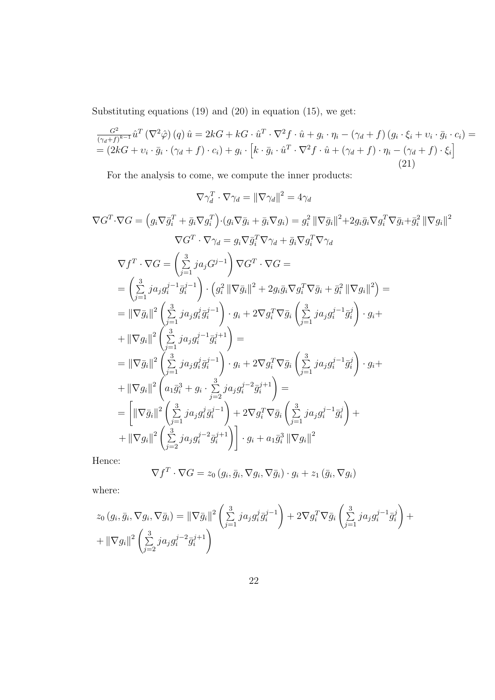Substituting equations (19) and (20) in equation (15), we get:

$$
\frac{G^2}{(\gamma_d + f)^{k-1}} \hat{u}^T (\nabla^2 \hat{\varphi}) (q) \hat{u} = 2kG + kG \cdot \hat{u}^T \cdot \nabla^2 f \cdot \hat{u} + g_i \cdot \eta_i - (\gamma_d + f) (g_i \cdot \xi_i + v_i \cdot \bar{g}_i \cdot c_i) =
$$
\n
$$
= (2kG + v_i \cdot \bar{g}_i \cdot (\gamma_d + f) \cdot c_i) + g_i \cdot [k \cdot \bar{g}_i \cdot \hat{u}^T \cdot \nabla^2 f \cdot \hat{u} + (\gamma_d + f) \cdot \eta_i - (\gamma_d + f) \cdot \xi_i]
$$
\n(21)

For the analysis to come, we compute the inner products:

$$
\nabla \gamma_d^T \cdot \nabla \gamma_d = \|\nabla \gamma_d\|^2 = 4\gamma_d
$$
  
\n
$$
\nabla G^T \cdot \nabla G = \left(g_i \nabla \bar{g}_i^T + \bar{g}_i \nabla g_i^T\right) \cdot \left(g_i \nabla \bar{g}_i + \bar{g}_i \nabla g_i\right) = g_i^2 \|\nabla \bar{g}_i\|^2 + 2g_i \bar{g}_i \nabla g_i^T \nabla \bar{g}_i + \bar{g}_i^2 \|\nabla g_i\|^2
$$
  
\n
$$
\nabla G^T \cdot \nabla \gamma_d = g_i \nabla \bar{g}_i^T \nabla \gamma_d + \bar{g}_i \nabla g_i^T \nabla \gamma_d
$$
  
\n
$$
\nabla f^T \cdot \nabla G = \left(\sum_{j=1}^3 j a_j G^{j-1}\right) \nabla G^T \cdot \nabla G =
$$
  
\n
$$
= \left(\sum_{j=1}^3 j a_j g_i^{j-1} \bar{g}_i^{j-1}\right) \cdot \left(g_i^2 \|\nabla \bar{g}_i\|^2 + 2g_i \bar{g}_i \nabla g_i^T \nabla \bar{g}_i + \bar{g}_i^2 \|\nabla g_i\|^2\right) =
$$
  
\n
$$
= \|\nabla \bar{g}_i\|^2 \left(\sum_{j=1}^3 j a_j g_i^j \bar{g}_i^{j-1}\right) \cdot g_i + 2 \nabla g_i^T \nabla \bar{g}_i \left(\sum_{j=1}^3 j a_j g_i^{j-1} \bar{g}_i^j\right) \cdot g_i +
$$
  
\n
$$
+ \|\nabla g_i\|^2 \left(\sum_{j=1}^3 j a_j g_i^j \bar{g}_i^{j-1}\right) =
$$
  
\n
$$
= \|\nabla \bar{g}_i\|^2 \left(\sum_{j=1}^3 j a_j g_i^j \bar{g}_i^{j-1}\right) \cdot g_i + 2 \nabla g_i^T \nabla \bar{g}_i \left(\sum_{j=1}^3 j a_j g_i^{j-1} \bar{g}_i^j\right) \cdot g_i +
$$
  
\n
$$
+ \|\
$$

Hence:

$$
\nabla f^T \cdot \nabla G = z_0 (g_i, \bar{g}_i, \nabla g_i, \nabla \bar{g}_i) \cdot g_i + z_1 (\bar{g}_i, \nabla g_i)
$$

$$
z_0(g_i, \bar{g}_i, \nabla g_i, \nabla \bar{g}_i) = ||\nabla \bar{g}_i||^2 \left( \sum_{j=1}^3 j a_j g_i^j \bar{g}_i^{j-1} \right) + 2 \nabla g_i^T \nabla \bar{g}_i \left( \sum_{j=1}^3 j a_j g_i^{j-1} \bar{g}_i^j \right) + ||\nabla g_i||^2 \left( \sum_{j=2}^3 j a_j g_i^{j-2} \bar{g}_i^{j+1} \right)
$$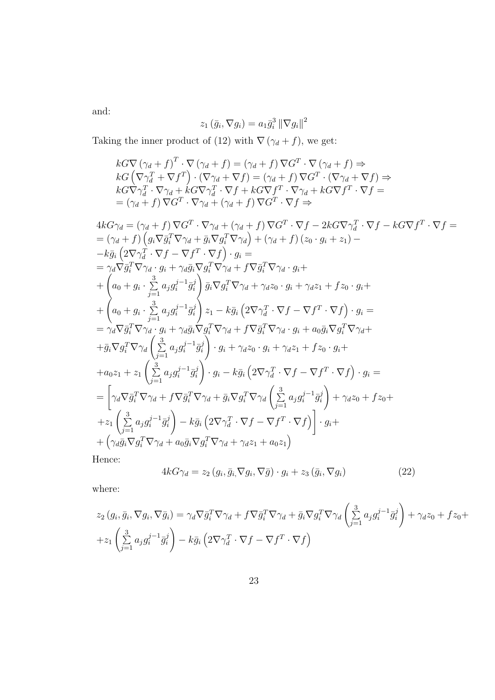and:

$$
z_1(\bar{g}_i, \nabla g_i) = a_1 \bar{g}_i^3 \left\| \nabla g_i \right\|^2
$$

Taking the inner product of (12) with  $\nabla (\gamma_d + f)$ , we get:

$$
kG\nabla (\gamma_d + f)^T \cdot \nabla (\gamma_d + f) = (\gamma_d + f) \nabla G^T \cdot \nabla (\gamma_d + f) \Rightarrow
$$
  
\n
$$
kG(\nabla \gamma_d^T + \nabla f^T) \cdot (\nabla \gamma_d + \nabla f) = (\gamma_d + f) \nabla G^T \cdot (\nabla \gamma_d + \nabla f) \Rightarrow
$$
  
\n
$$
kG\nabla \gamma_d^T \cdot \nabla \gamma_d + kG\nabla \gamma_d^T \cdot \nabla f + kG\nabla f^T \cdot \nabla \gamma_d + kG\nabla f^T \cdot \nabla f =
$$
  
\n
$$
= (\gamma_d + f) \nabla G^T \cdot \nabla \gamma_d + (\gamma_d + f) \nabla G^T \cdot \nabla f \Rightarrow
$$

$$
4kG\gamma_d = (\gamma_d + f)\nabla G^T \cdot \nabla \gamma_d + (\gamma_d + f)\nabla G^T \cdot \nabla f - 2kG\nabla \gamma_d^T \cdot \nabla f - kG\nabla f^T \cdot \nabla f =
$$
  
\n
$$
= (\gamma_d + f)\left(g_i\nabla \bar{g}_i^T\nabla \gamma_d + \bar{g}_i\nabla g_i^T\nabla \gamma_d\right) + (\gamma_d + f)\left(z_0 \cdot g_i + z_1\right) -
$$
  
\n
$$
-k\bar{g}_i\left(2\nabla \gamma_d^T \cdot \nabla f - \nabla f^T \cdot \nabla f\right) \cdot g_i =
$$
  
\n
$$
= \gamma_d \nabla \bar{g}_i^T\nabla \gamma_d \cdot g_i + \gamma_d \bar{g}_i \nabla g_i^T\nabla \gamma_d + f\nabla \bar{g}_i^T\nabla \gamma_d \cdot g_i +
$$
  
\n
$$
+ \begin{pmatrix} a_0 + g_i \cdot \sum_{j=1}^3 a_j g_i^{j-1} \bar{g}_i^j \end{pmatrix} \bar{g}_i \nabla g_i^T\nabla \gamma_d + \gamma_d z_0 \cdot g_i + \gamma_d z_1 + f z_0 \cdot g_i +
$$
  
\n
$$
+ \begin{pmatrix} a_0 + g_i \cdot \sum_{j=1}^3 a_j g_i^{j-1} \bar{g}_i^j \end{pmatrix} z_1 - k\bar{g}_i\left(2\nabla \gamma_d^T \cdot \nabla f - \nabla f^T \cdot \nabla f\right) \cdot g_i =
$$
  
\n
$$
= \gamma_d \nabla \bar{g}_i^T\nabla \gamma_d \cdot g_i + \gamma_d \bar{g}_i \nabla g_i^T\nabla \gamma_d + f\nabla \bar{g}_i^T\nabla \gamma_d \cdot g_i + a_0 \bar{g}_i \nabla g_i^T\nabla \gamma_d +
$$
  
\n
$$
+ \bar{g}_i \nabla g_i^T\nabla \gamma_d \left(\sum_{j=1}^3 a_j g_i^{j-1} \bar{g}_i^j\right) \cdot g_i + \gamma_d z_0 \cdot g_i + \gamma_d z_1 + f z_0 \cdot g_i +
$$
  
\n
$$
+ a_0
$$

Hence:

$$
4kG\gamma_d = z_2(g_i, \bar{g}_i, \nabla g_i, \nabla \bar{g}) \cdot g_i + z_3(\bar{g}_i, \nabla g_i)
$$
\n(22)

$$
z_2(g_i, \bar{g}_i, \nabla g_i, \nabla \bar{g}_i) = \gamma_d \nabla \bar{g}_i^T \nabla \gamma_d + f \nabla \bar{g}_i^T \nabla \gamma_d + \bar{g}_i \nabla g_i^T \nabla \gamma_d \left(\sum_{j=1}^3 a_j g_i^{j-1} \bar{g}_i^j\right) + \gamma_d z_0 + f z_0 + z_1 \left(\sum_{j=1}^3 a_j g_i^{j-1} \bar{g}_i^j\right) - k \bar{g}_i \left(2 \nabla \gamma_d^T \cdot \nabla f - \nabla f^T \cdot \nabla f\right)
$$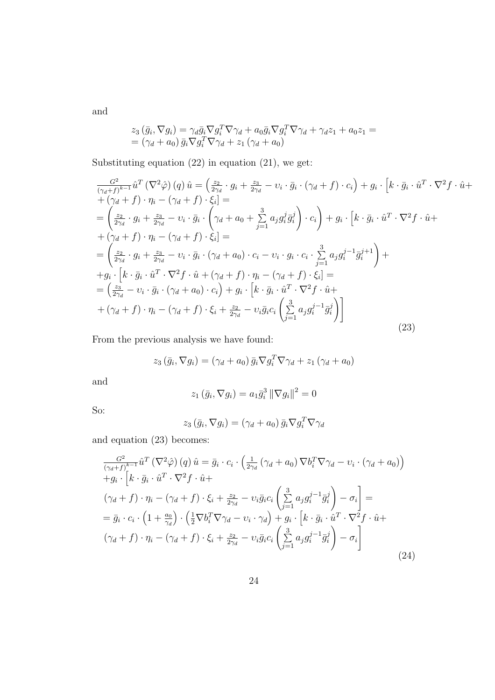and

$$
z_3(\bar{g}_i, \nabla g_i) = \gamma_d \bar{g}_i \nabla g_i^T \nabla \gamma_d + a_0 \bar{g}_i \nabla g_i^T \nabla \gamma_d + \gamma_d z_1 + a_0 z_1 =
$$
  
=  $(\gamma_d + a_0) \bar{g}_i \nabla g_i^T \nabla \gamma_d + z_1 (\gamma_d + a_0)$ 

Substituting equation (22) in equation (21), we get:

$$
\frac{G^2}{(\gamma_d + f)^{k-1}} \hat{u}^T (\nabla^2 \hat{\varphi}) (q) \hat{u} = \left(\frac{z_2}{2\gamma_d} \cdot g_i + \frac{z_3}{2\gamma_d} - \nu_i \cdot \bar{g}_i \cdot (\gamma_d + f) \cdot c_i\right) + g_i \cdot \left[k \cdot \bar{g}_i \cdot \hat{u}^T \cdot \nabla^2 f \cdot \hat{u} +\n+ (\gamma_d + f) \cdot \eta_i - (\gamma_d + f) \cdot \xi_i\right] =\n= \left(\frac{z_2}{2\gamma_d} \cdot g_i + \frac{z_3}{2\gamma_d} - \nu_i \cdot \bar{g}_i \cdot \left(\gamma_d + a_0 + \sum_{j=1}^3 a_j g_i^j \bar{g}_i^j\right) \cdot c_i\right) + g_i \cdot \left[k \cdot \bar{g}_i \cdot \hat{u}^T \cdot \nabla^2 f \cdot \hat{u} +\n+ (\gamma_d + f) \cdot \eta_i - (\gamma_d + f) \cdot \xi_i\right] =\n= \left(\frac{z_2}{2\gamma_d} \cdot g_i + \frac{z_3}{2\gamma_d} - \nu_i \cdot \bar{g}_i \cdot (\gamma_d + a_0) \cdot c_i - \nu_i \cdot g_i \cdot c_i \cdot \sum_{j=1}^3 a_j g_i^{j-1} \bar{g}_i^{j+1}\right) +\n+ g_i \cdot \left[k \cdot \bar{g}_i \cdot \hat{u}^T \cdot \nabla^2 f \cdot \hat{u} + (\gamma_d + f) \cdot \eta_i - (\gamma_d + f) \cdot \xi_i\right] =\n= \left(\frac{z_3}{2\gamma_d} - \nu_i \cdot \bar{g}_i \cdot (\gamma_d + a_0) \cdot c_i\right) + g_i \cdot \left[k \cdot \bar{g}_i \cdot \hat{u}^T \cdot \nabla^2 f \cdot \hat{u} +\n+ (\gamma_d + f) \cdot \eta_i - (\gamma_d + f) \cdot \xi_i + \frac{z_2}{2\gamma_d} - \nu_i \bar{g}_i c_i \left(\sum_{j=1}^3 a_j g_i^{j-1} \bar{g}_i^j\right)\right]
$$
\n(23)

From the previous analysis we have found:

$$
z_3(\bar{g}_i, \nabla g_i) = (\gamma_d + a_0) \bar{g}_i \nabla g_i^T \nabla \gamma_d + z_1 (\gamma_d + a_0)
$$

and

$$
z_1(\bar{g}_i, \nabla g_i) = a_1 \bar{g}_i^3 ||\nabla g_i||^2 = 0
$$

So:

$$
z_3\left(\bar{g}_i,\nabla g_i\right) = \left(\gamma_d + a_0\right)\bar{g}_i\nabla g_i^T\nabla \gamma_d
$$

and equation (23) becomes:

$$
\frac{G^2}{(\gamma_d + f)^{k-1}} \hat{u}^T (\nabla^2 \hat{\varphi}) (q) \hat{u} = \bar{g}_i \cdot c_i \cdot \left( \frac{1}{2\gamma_d} (\gamma_d + a_0) \nabla b_i^T \nabla \gamma_d - v_i \cdot (\gamma_d + a_0) \right) + g_i \cdot \left[ k \cdot \bar{g}_i \cdot \hat{u}^T \cdot \nabla^2 f \cdot \hat{u} +
$$
  

$$
(\gamma_d + f) \cdot \eta_i - (\gamma_d + f) \cdot \xi_i + \frac{z_2}{2\gamma_d} - v_i \bar{g}_i c_i \left( \sum_{j=1}^3 a_j g_i^{j-1} \bar{g}_i^j \right) - \sigma_i \right] =
$$
  

$$
= \bar{g}_i \cdot c_i \cdot \left( 1 + \frac{a_0}{\gamma_d} \right) \cdot \left( \frac{1}{2} \nabla b_i^T \nabla \gamma_d - v_i \cdot \gamma_d \right) + g_i \cdot \left[ k \cdot \bar{g}_i \cdot \hat{u}^T \cdot \nabla^2 f \cdot \hat{u} +
$$
  

$$
(\gamma_d + f) \cdot \eta_i - (\gamma_d + f) \cdot \xi_i + \frac{z_2}{2\gamma_d} - v_i \bar{g}_i c_i \left( \sum_{j=1}^3 a_j g_i^{j-1} \bar{g}_i^j \right) - \sigma_i \right]
$$
  
(24)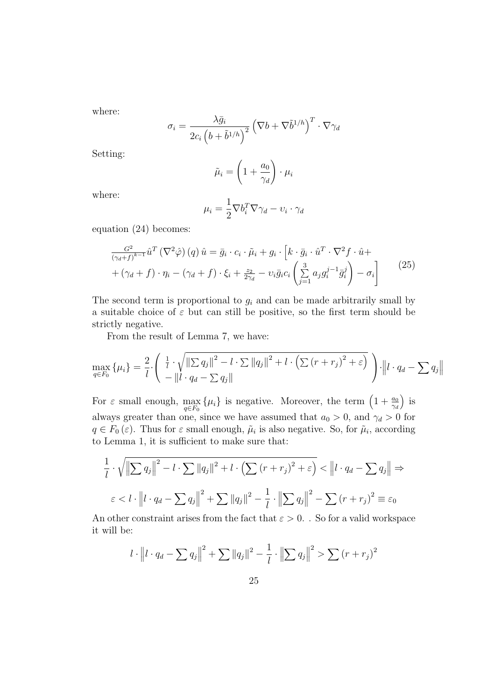where:

$$
\sigma_i = \frac{\lambda \bar{g}_i}{2c_i \left(b+\tilde{b}^{1/h}\right)^2} \left(\nabla b + \nabla \tilde{b}^{1/h}\right)^T \cdot \nabla \gamma_d
$$

Setting:

$$
\tilde{\mu}_i = \left(1 + \frac{a_0}{\gamma_d}\right) \cdot \mu_i
$$

where:

$$
\mu_i = \frac{1}{2} \nabla b_i^T \nabla \gamma_d - v_i \cdot \gamma_d
$$

equation (24) becomes:

$$
\frac{G^2}{(\gamma_d + f)^{k-1}} \hat{u}^T (\nabla^2 \hat{\varphi}) (q) \hat{u} = \bar{g}_i \cdot c_i \cdot \tilde{\mu}_i + g_i \cdot \left[ k \cdot \bar{g}_i \cdot \hat{u}^T \cdot \nabla^2 f \cdot \hat{u} + \right. \\
\left. + (\gamma_d + f) \cdot \eta_i - (\gamma_d + f) \cdot \xi_i + \frac{z_2}{2\gamma_d} - \nu_i \bar{g}_i c_i \left( \sum_{j=1}^3 a_j g_i^{j-1} \bar{g}_i^j \right) - \sigma_i \right]
$$
\n(25)

The second term is proportional to  $g_i$  and can be made arbitrarily small by a suitable choice of  $\varepsilon$  but can still be positive, so the first term should be strictly negative.

From the result of Lemma 7, we have:

$$
\max_{q \in F_0} \{\mu_i\} = \frac{2}{l} \cdot \left( \frac{\frac{1}{l} \cdot \sqrt{\|\sum q_j\|^2 - l \cdot \sum \|q_j\|^2 + l \cdot (\sum (r + r_j)^2 + \varepsilon)}}{-\|l \cdot q_d - \sum q_j\|} \right) \cdot \|l \cdot q_d - \sum q_j\|
$$

For  $\varepsilon$  small enough,  $\max_{q \in F_0} {\{\mu_i\}}$  is negative. Moreover, the term  $\left(1 + \frac{a_0}{\gamma_d}\right)$ ´ is always greater than one, since we have assumed that  $a_0 > 0$ , and  $\gamma_d > 0$  for  $q \in F_0(\varepsilon)$ . Thus for  $\varepsilon$  small enough,  $\tilde{\mu}_i$  is also negative. So, for  $\tilde{\mu}_i$ , according to Lemma 1, it is sufficient to make sure that:

$$
\frac{1}{l} \cdot \sqrt{\left\|\sum q_j\right\|^2 - l \cdot \sum \|q_j\|^2 + l \cdot \left(\sum (r+r_j)^2 + \varepsilon\right)} < \left\|l \cdot q_d - \sum q_j\right\| \Rightarrow
$$
\n
$$
\varepsilon < l \cdot \left\|l \cdot q_d - \sum q_j\right\|^2 + \sum \|q_j\|^2 - \frac{1}{l} \cdot \left\|\sum q_j\right\|^2 - \sum (r+r_j)^2 \equiv \varepsilon_0
$$

An other constraint arises from the fact that  $\varepsilon > 0$ . So for a valid workspace it will be:

$$
l \cdot ||l \cdot q_d - \sum q_j||^2 + \sum ||q_j||^2 - \frac{1}{l} \cdot ||\sum q_j||^2 > \sum (r + r_j)^2
$$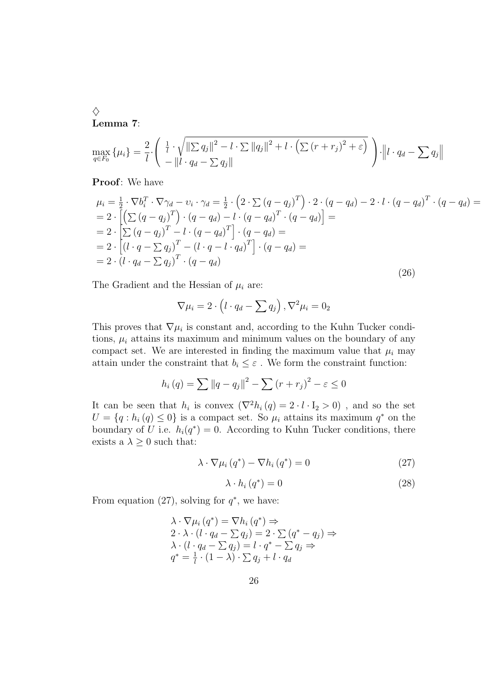$\Diamond$ Lemma 7:

$$
\max_{q \in F_0} \{\mu_i\} = \frac{2}{l} \cdot \left( \frac{\frac{1}{l} \cdot \sqrt{\|\sum q_j\|^2 - l \cdot \sum \|q_j\|^2 + l \cdot (\sum (r + r_j)^2 + \varepsilon)}}{-\|l \cdot q_d - \sum q_j\|} \right) \cdot \|l \cdot q_d - \sum q_j\|
$$

Proof: We have

$$
\mu_{i} = \frac{1}{2} \cdot \nabla b_{i}^{T} \cdot \nabla \gamma_{d} - v_{i} \cdot \gamma_{d} = \frac{1}{2} \cdot \left( 2 \cdot \sum (q - q_{j})^{T} \right) \cdot 2 \cdot (q - q_{d}) - 2 \cdot l \cdot (q - q_{d})^{T} \cdot (q - q_{d}) =
$$
\n
$$
= 2 \cdot \left[ \left( \sum (q - q_{j})^{T} \right) \cdot (q - q_{d}) - l \cdot (q - q_{d})^{T} \cdot (q - q_{d}) \right] =
$$
\n
$$
= 2 \cdot \left[ \sum (q - q_{j})^{T} - l \cdot (q - q_{d})^{T} \right] \cdot (q - q_{d}) =
$$
\n
$$
= 2 \cdot \left[ (l \cdot q - \sum q_{j})^{T} - (l \cdot q - l \cdot q_{d})^{T} \right] \cdot (q - q_{d}) =
$$
\n
$$
= 2 \cdot (l \cdot q_{d} - \sum q_{j})^{T} \cdot (q - q_{d}) \tag{26}
$$

The Gradient and the Hessian of  $\mu_i$  are:

$$
\nabla \mu_i = 2 \cdot \left( l \cdot q_d - \sum q_j \right), \nabla^2 \mu_i = 0_2
$$

This proves that  $\nabla \mu_i$  is constant and, according to the Kuhn Tucker conditions,  $\mu_i$  attains its maximum and minimum values on the boundary of any compact set. We are interested in finding the maximum value that  $\mu_i$  may attain under the constraint that  $b_i \leq \varepsilon$  . We form the constraint function:

$$
h_i(q) = \sum ||q - q_j||^2 - \sum (r + r_j)^2 - \varepsilon \le 0
$$

It can be seen that  $h_i$  is convex  $(\nabla^2 h_i(q) = 2 \cdot l \cdot I_2 > 0)$ , and so the set  $U = \{q : h_i(q) \leq 0\}$  is a compact set. So  $\mu_i$  attains its maximum  $q^*$  on the boundary of U i.e.  $h_i(q^*) = 0$ . According to Kuhn Tucker conditions, there exists a  $\lambda \geq 0$  such that:

$$
\lambda \cdot \nabla \mu_i \left( q^* \right) - \nabla h_i \left( q^* \right) = 0 \tag{27}
$$

$$
\lambda \cdot h_i(q^*) = 0 \tag{28}
$$

From equation (27), solving for  $q^*$ , we have:

$$
\begin{aligned}\n\lambda \cdot \nabla \mu_i \left( q^* \right) &= \nabla h_i \left( q^* \right) \Rightarrow \\
2 \cdot \lambda \cdot \left( l \cdot q_d - \sum q_j \right) &= 2 \cdot \sum \left( q^* - q_j \right) \Rightarrow \\
\lambda \cdot \left( l \cdot q_d - \sum q_j \right) &= l \cdot q^* - \sum q_j \Rightarrow \\
q^* &= \frac{1}{l} \cdot (1 - \lambda) \cdot \sum q_j + l \cdot q_d\n\end{aligned}
$$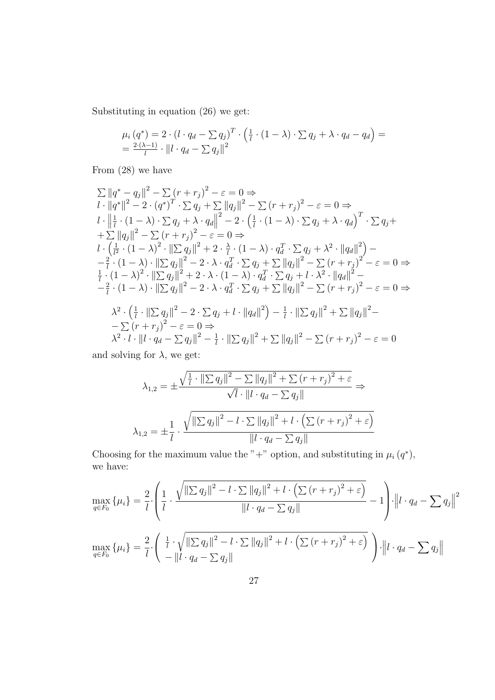Substituting in equation (26) we get:

$$
\mu_i(q^*) = 2 \cdot (l \cdot q_d - \sum q_j)^T \cdot \left(\frac{1}{l} \cdot (1 - \lambda) \cdot \sum q_j + \lambda \cdot q_d - q_d\right) =
$$
  
= 
$$
\frac{2 \cdot (\lambda - 1)}{l} \cdot ||l \cdot q_d - \sum q_j||^2
$$

From (28) we have

$$
\sum ||q^* - q_j||^2 - \sum (r + r_j)^2 - \varepsilon = 0 \Rightarrow
$$
\n
$$
l \cdot ||q^*||^2 - 2 \cdot (q^*)^T \cdot \sum q_j + \sum ||q_j||^2 - \sum (r + r_j)^2 - \varepsilon = 0 \Rightarrow
$$
\n
$$
l \cdot \left\| \frac{1}{l} \cdot (1 - \lambda) \cdot \sum q_j + \lambda \cdot q_d \right\|^2 - 2 \cdot \left( \frac{1}{l} \cdot (1 - \lambda) \cdot \sum q_j + \lambda \cdot q_d \right)^T \cdot \sum q_j +
$$
\n
$$
+ \sum ||q_j||^2 - \sum (r + r_j)^2 - \varepsilon = 0 \Rightarrow
$$
\n
$$
l \cdot \left( \frac{1}{l^2} \cdot (1 - \lambda)^2 \cdot ||\sum q_j||^2 + 2 \cdot \frac{\lambda}{l} \cdot (1 - \lambda) \cdot q_d^T \cdot \sum q_j + \lambda^2 \cdot ||q_d||^2 \right) -
$$
\n
$$
- \frac{2}{l} \cdot (1 - \lambda) \cdot ||\sum q_j||^2 - 2 \cdot \lambda \cdot q_d^T \cdot \sum q_j + \sum ||q_j||^2 - \sum (r + r_j)^2 - \varepsilon = 0 \Rightarrow
$$
\n
$$
\frac{1}{l} \cdot (1 - \lambda)^2 \cdot ||\sum q_j||^2 + 2 \cdot \lambda \cdot (1 - \lambda) \cdot q_d^T \cdot \sum q_j + l \cdot \lambda^2 \cdot ||q_d||^2 -
$$
\n
$$
- \frac{2}{l} \cdot (1 - \lambda) \cdot ||\sum q_j||^2 - 2 \cdot \lambda \cdot q_d^T \cdot \sum q_j + \sum ||q_j||^2 - \sum (r + r_j)^2 - \varepsilon = 0 \Rightarrow
$$
\n
$$
\lambda^2 \cdot \left( \frac{1}{l} \cdot ||\sum q_j||^2 - 2 \cdot \sum q_j + l \cdot ||q_d||^2 \right) - \frac{1}{l} \cdot ||\sum q_j||^2 + \sum ||q_j||^2 -
$$
\n
$$
- \sum (r + r_j)^2 - \varepsilon = 0 \Rightarrow
$$
\n
$$
\lambda^2 \cdot l \cdot ||l \cdot q_d - \sum q_j||^2 - \frac{1}{l} \cdot ||\sum q_j||^2 + \sum ||q_j||^2 - \sum (r + r_j)^2 - \
$$

and solving for  $\lambda$ , we get:

$$
\lambda_{1,2} = \pm \frac{\sqrt{\frac{1}{l} \cdot \left\| \sum q_j \right\|^2 - \sum \|q_j\|^2 + \sum (r + r_j)^2 + \varepsilon}}{\sqrt{l} \cdot \left\| l \cdot q_d - \sum q_j \right\|} \Rightarrow
$$
  

$$
\lambda_{1,2} = \pm \frac{1}{l} \cdot \frac{\sqrt{\left\| \sum q_j \right\|^2 - l \cdot \sum \|q_j\|^2 + l \cdot \left( \sum (r + r_j)^2 + \varepsilon \right)}}{\left\| l \cdot q_d - \sum q_j \right\|}
$$

Choosing for the maximum value the "+" option, and substituting in  $\mu_i(q^*)$ , we have:

$$
\max_{q \in F_0} \{\mu_i\} = \frac{2}{l} \cdot \left( \frac{1}{l} \cdot \frac{\sqrt{\|\sum q_j\|^2 - l \cdot \sum \|q_j\|^2 + l \cdot \left(\sum (r + r_j)^2 + \varepsilon\right)}}{\|l \cdot q_d - \sum q_j\|} - 1 \right) \cdot \left\|l \cdot q_d - \sum q_j\right\|^2
$$
\n
$$
\max_{q \in F_0} \{\mu_i\} = \frac{2}{l} \cdot \left( \frac{\frac{1}{l} \cdot \sqrt{\|\sum q_j\|^2 - l \cdot \sum \|q_j\|^2 + l \cdot \left(\sum (r + r_j)^2 + \varepsilon\right)}}{-\|l \cdot q_d - \sum q_j\|} \right) \cdot \left\|l \cdot q_d - \sum q_j\right\|
$$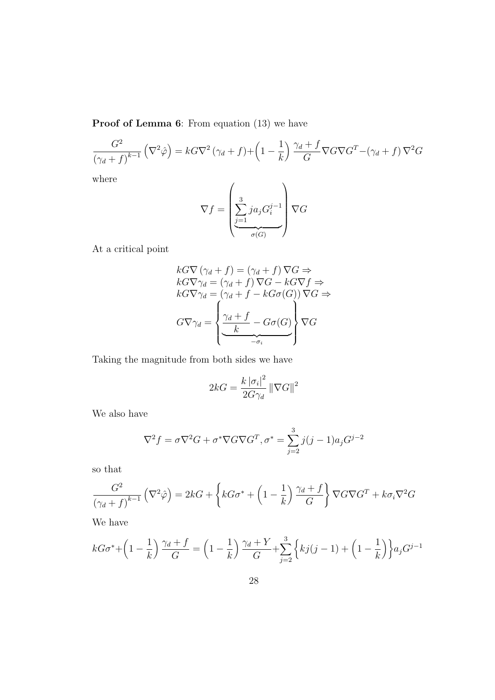Proof of Lemma 6: From equation (13) we have

$$
\frac{G^2}{\left(\gamma_d + f\right)^{k-1}} \left(\nabla^2 \hat{\varphi}\right) = kG \nabla^2 \left(\gamma_d + f\right) + \left(1 - \frac{1}{k}\right) \frac{\gamma_d + f}{G} \nabla G \nabla G^T - \left(\gamma_d + f\right) \nabla^2 G
$$

where

$$
\nabla f = \left(\underbrace{\sum_{j=1}^{3} ja_j G_i^{j-1}}_{\sigma(G)}\right) \nabla G
$$

At a critical point

$$
kG\nabla (\gamma_d + f) = (\gamma_d + f) \nabla G \Rightarrow
$$
  
\n
$$
kG\nabla \gamma_d = (\gamma_d + f) \nabla G - kG\nabla f \Rightarrow
$$
  
\n
$$
kG\nabla \gamma_d = (\gamma_d + f - kG\sigma(G)) \nabla G \Rightarrow
$$
  
\n
$$
G\nabla \gamma_d = \left\{ \underbrace{\frac{\gamma_d + f}{k} - G\sigma(G)}_{-\sigma_i} \right\} \nabla G
$$

Taking the magnitude from both sides we have

$$
2kG = \frac{k |\sigma_i|^2}{2G\gamma_d} ||\nabla G||^2
$$

We also have

$$
\nabla^2 f = \sigma \nabla^2 G + \sigma^* \nabla G \nabla G^T, \sigma^* = \sum_{j=2}^3 j(j-1)a_j G^{j-2}
$$

so that

$$
\frac{G^2}{\left(\gamma_d + f\right)^{k-1}} \left(\nabla^2 \hat{\varphi}\right) = 2kG + \left\{ kG\sigma^* + \left(1 - \frac{1}{k}\right) \frac{\gamma_d + f}{G} \right\} \nabla G \nabla G^T + k\sigma_i \nabla^2 G
$$

We have

$$
kG\sigma^* + \left(1 - \frac{1}{k}\right)\frac{\gamma_d + f}{G} = \left(1 - \frac{1}{k}\right)\frac{\gamma_d + Y}{G} + \sum_{j=2}^3 \left\{kj(j-1) + \left(1 - \frac{1}{k}\right)\right\} a_j G^{j-1}
$$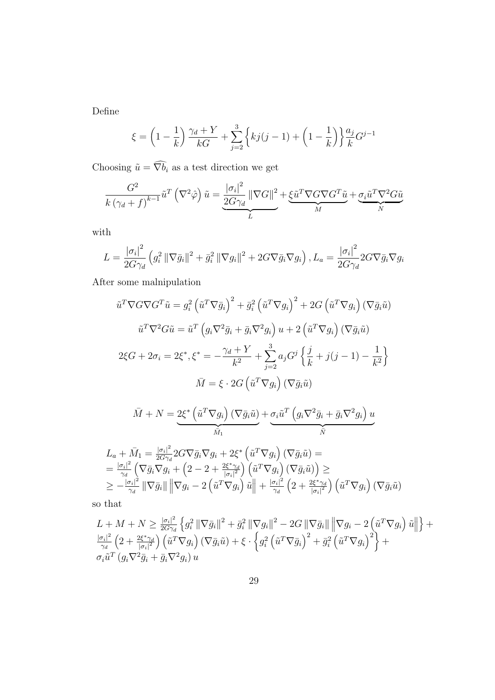Define

$$
\xi = \left(1 - \frac{1}{k}\right) \frac{\gamma_d + Y}{kG} + \sum_{j=2}^{3} \left\{ kj(j-1) + \left(1 - \frac{1}{k}\right) \right\} \frac{a_j}{k} G^{j-1}
$$

Choosing  $\tilde{u} = \widehat{\nabla b_i}$  as a test direction we get

$$
\frac{G^2}{k(\gamma_d + f)^{k-1}} \tilde{u}^T (\nabla^2 \hat{\varphi}) \tilde{u} = \underbrace{\frac{|\sigma_i|^2}{2G\gamma_d} \|\nabla G\|^2}_{L} + \underbrace{\xi \tilde{u}^T \nabla G \nabla G^T \tilde{u}}_{M} + \underbrace{\sigma_i \tilde{u}^T \nabla^2 G \tilde{u}}_{N}
$$

with

$$
L = \frac{|\sigma_i|^2}{2G\gamma_d} \left( g_i^2 \left\| \nabla \bar{g}_i \right\|^2 + \bar{g}_i^2 \left\| \nabla g_i \right\|^2 + 2G \nabla \bar{g}_i \nabla g_i \right), L_a = \frac{|\sigma_i|^2}{2G\gamma_d} 2G \nabla \bar{g}_i \nabla g_i
$$

After some malnipulation

$$
\tilde{u}^T \nabla G \nabla G^T \tilde{u} = g_i^2 \left( \tilde{u}^T \nabla \bar{g}_i \right)^2 + \bar{g}_i^2 \left( \tilde{u}^T \nabla g_i \right)^2 + 2G \left( \tilde{u}^T \nabla g_i \right) (\nabla \bar{g}_i \tilde{u})
$$

$$
\tilde{u}^T \nabla^2 G \tilde{u} = \tilde{u}^T \left( g_i \nabla^2 \bar{g}_i + \bar{g}_i \nabla^2 g_i \right) u + 2 \left( \tilde{u}^T \nabla g_i \right) (\nabla \bar{g}_i \tilde{u})
$$

$$
2\xi G + 2\sigma_i = 2\xi^*, \xi^* = -\frac{\gamma_d + Y}{k^2} + \sum_{j=2}^3 a_j G^j \left\{ \frac{j}{k} + j(j-1) - \frac{1}{k^2} \right\}
$$

$$
\bar{M} = \xi \cdot 2G \left( \tilde{u}^T \nabla g_i \right) (\nabla \bar{g}_i \tilde{u})
$$

$$
\bar{M} + N = \underbrace{2\xi^* \left(\tilde{u}^T \nabla g_i\right) \left(\nabla \bar{g}_i \tilde{u}\right)}_{\bar{M}_1} + \underbrace{\sigma_i \tilde{u}^T \left(g_i \nabla^2 \bar{g}_i + \bar{g}_i \nabla^2 g_i\right) u}_{\bar{N}}
$$

$$
L_a + \bar{M}_1 = \frac{|\sigma_i|^2}{2G\gamma_d} 2G\nabla \bar{g}_i \nabla g_i + 2\xi^* \left(\tilde{u}^T \nabla g_i\right) \left(\nabla \bar{g}_i \tilde{u}\right) =
$$
  
\n
$$
= \frac{|\sigma_i|^2}{\gamma_d} \left(\nabla \bar{g}_i \nabla g_i + \left(2 - 2 + \frac{2\xi^* \gamma_d}{|\sigma_i|^2}\right) \left(\tilde{u}^T \nabla g_i\right) \left(\nabla \bar{g}_i \tilde{u}\right)\right) \ge
$$
  
\n
$$
\geq -\frac{|\sigma_i|^2}{\gamma_d} \left\|\nabla \bar{g}_i\right\| \left\|\nabla g_i - 2 \left(\tilde{u}^T \nabla g_i\right) \tilde{u}\right\| + \frac{|\sigma_i|^2}{\gamma_d} \left(2 + \frac{2\xi^* \gamma_d}{|\sigma_i|^2}\right) \left(\tilde{u}^T \nabla g_i\right) \left(\nabla \bar{g}_i \tilde{u}\right)
$$

so that

$$
L + M + N \geq \frac{|\sigma_i|^2}{2G\gamma_d} \left\{ g_i^2 \left\| \nabla \bar{g}_i \right\|^2 + \bar{g}_i^2 \left\| \nabla g_i \right\|^2 - 2G \left\| \nabla \bar{g}_i \right\| \left\| \nabla g_i - 2 \left( \tilde{u}^T \nabla g_i \right) \tilde{u} \right\| \right\} + \frac{|\sigma_i|^2}{\gamma_d} \left( 2 + \frac{2\xi^* \gamma_d}{|\sigma_i|^2} \right) \left( \tilde{u}^T \nabla g_i \right) \left( \nabla \bar{g}_i \tilde{u} \right) + \xi \cdot \left\{ g_i^2 \left( \tilde{u}^T \nabla \bar{g}_i \right)^2 + \bar{g}_i^2 \left( \tilde{u}^T \nabla g_i \right)^2 \right\} + \sigma_i \tilde{u}^T \left( g_i \nabla^2 \bar{g}_i + \bar{g}_i \nabla^2 g_i \right) u
$$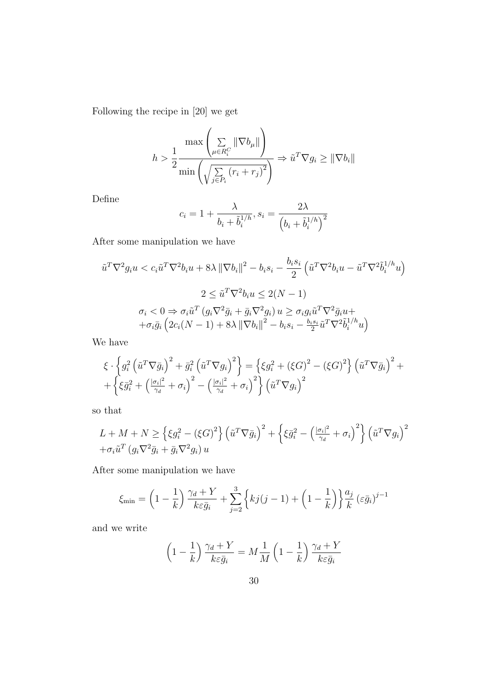Following the recipe in [20] we get

$$
h > \frac{1}{2} \frac{\max\left(\sum\limits_{\mu \in R_i^C} \|\nabla b_{\mu}\|\right)}{\min\left(\sqrt{\sum\limits_{j \in P_i} (r_i + r_j)^2}\right)} \Rightarrow \tilde{u}^T \nabla g_i \ge \|\nabla b_i\|
$$

Define

$$
c_i = 1 + \frac{\lambda}{b_i + \tilde{b}_i^{1/h}}, s_i = \frac{2\lambda}{\left(b_i + \tilde{b}_i^{1/h}\right)^2}
$$

After some manipulation we have

$$
\tilde{u}^T \nabla^2 g_i u < c_i \tilde{u}^T \nabla^2 b_i u + 8\lambda \left\| \nabla b_i \right\|^2 - b_i s_i - \frac{b_i s_i}{2} \left( \tilde{u}^T \nabla^2 b_i u - \tilde{u}^T \nabla^2 \tilde{b}_i^{1/h} u \right)
$$
\n
$$
2 \leq \tilde{u}^T \nabla^2 b_i u \leq 2(N - 1)
$$
\n
$$
\sigma_i < 0 \Rightarrow \sigma_i \tilde{u}^T \left( g_i \nabla^2 \bar{g}_i + \bar{g}_i \nabla^2 g_i \right) u \geq \sigma_i g_i \tilde{u}^T \nabla^2 \bar{g}_i u +
$$
\n
$$
+ \sigma_i \bar{g}_i \left( 2c_i (N - 1) + 8\lambda \left\| \nabla b_i \right\|^2 - b_i s_i - \frac{b_i s_i}{2} \tilde{u}^T \nabla^2 \tilde{b}_i^{1/h} u \right)
$$

We have

$$
\xi \cdot \left\{ g_i^2 \left( \tilde{u}^T \nabla \bar{g}_i \right)^2 + \bar{g}_i^2 \left( \tilde{u}^T \nabla g_i \right)^2 \right\} = \left\{ \xi g_i^2 + \left( \xi G \right)^2 - \left( \xi G \right)^2 \right\} \left( \tilde{u}^T \nabla \bar{g}_i \right)^2 + \left\{ \xi \bar{g}_i^2 + \left( \frac{|g_i|^2}{\gamma_d} + \sigma_i \right)^2 - \left( \frac{|g_i|^2}{\gamma_d} + \sigma_i \right)^2 \right\} \left( \tilde{u}^T \nabla g_i \right)^2
$$

so that

$$
L + M + N \geq \left\{ \xi g_i^2 - (\xi G)^2 \right\} \left( \tilde{u}^T \nabla \bar{g}_i \right)^2 + \left\{ \xi \bar{g}_i^2 - \left( \frac{|\sigma_i|^2}{\gamma_d} + \sigma_i \right)^2 \right\} \left( \tilde{u}^T \nabla g_i \right)^2
$$
  
+  $\sigma_i \tilde{u}^T \left( g_i \nabla^2 \bar{g}_i + \bar{g}_i \nabla^2 g_i \right) u$ 

After some manipulation we have

$$
\xi_{\min} = \left(1 - \frac{1}{k}\right) \frac{\gamma_d + Y}{k \varepsilon \bar{g}_i} + \sum_{j=2}^3 \left\{ k j (j-1) + \left(1 - \frac{1}{k}\right) \right\} \frac{a_j}{k} \left(\varepsilon \bar{g}_i\right)^{j-1}
$$

and we write

$$
\left(1 - \frac{1}{k}\right) \frac{\gamma_d + Y}{k\varepsilon \bar{g}_i} = M \frac{1}{M} \left(1 - \frac{1}{k}\right) \frac{\gamma_d + Y}{k\varepsilon \bar{g}_i}
$$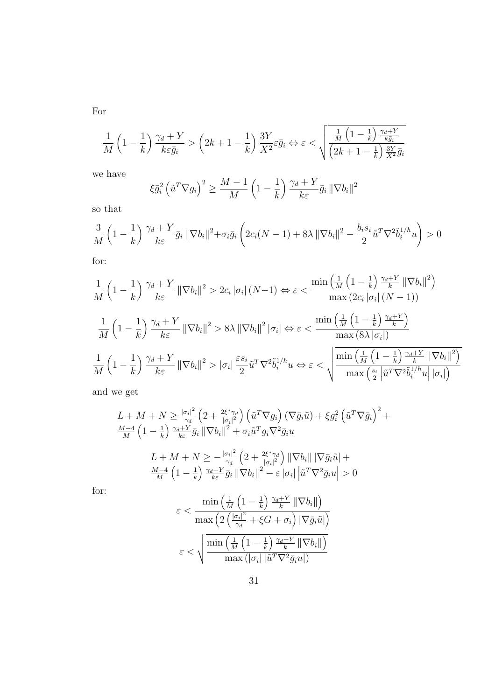$$
\frac{1}{M}\left(1-\frac{1}{k}\right)\frac{\gamma_d+Y}{k\varepsilon\bar{g}_i} > \left(2k+1-\frac{1}{k}\right)\frac{3Y}{X^2}\varepsilon\bar{g}_i \Leftrightarrow \varepsilon < \sqrt{\frac{\frac{1}{M}\left(1-\frac{1}{k}\right)\frac{\gamma_d+Y}{k\bar{g}_i}}{\left(2k+1-\frac{1}{k}\right)\frac{3Y}{X^2}\bar{g}_i}}
$$

we have

$$
\xi \bar{g}_i^2 \left( \tilde{u}^T \nabla g_i \right)^2 \ge \frac{M-1}{M} \left( 1 - \frac{1}{k} \right) \frac{\gamma_d + Y}{k \varepsilon} \bar{g}_i \left\| \nabla b_i \right\|^2
$$

so that

$$
\frac{3}{M}\left(1-\frac{1}{k}\right)\frac{\gamma_d+Y}{k\varepsilon}\bar{g}_i\left\|\nabla b_i\right\|^2+\sigma_i\bar{g}_i\left(2c_i(N-1)+8\lambda\left\|\nabla b_i\right\|^2-\frac{b_is_i}{2}\tilde{u}^T\nabla^2\tilde{b}_i^{1/h}u\right)>0
$$

for:

$$
\frac{1}{M} \left(1 - \frac{1}{k}\right) \frac{\gamma_d + Y}{k\varepsilon} \|\nabla b_i\|^2 > 2c_i |\sigma_i| (N-1) \Leftrightarrow \varepsilon < \frac{\min\left(\frac{1}{M} \left(1 - \frac{1}{k}\right) \frac{\gamma_d + Y}{k} \|\nabla b_i\|^2\right)}{\max\left(2c_i |\sigma_i| (N-1)\right)}
$$
\n
$$
\frac{1}{M} \left(1 - \frac{1}{k}\right) \frac{\gamma_d + Y}{k\varepsilon} \|\nabla b_i\|^2 > 8\lambda \|\nabla b_i\|^2 |\sigma_i| \Leftrightarrow \varepsilon < \frac{\min\left(\frac{1}{M} \left(1 - \frac{1}{k}\right) \frac{\gamma_d + Y}{k}\right)}{\max\left(8\lambda |\sigma_i|\right)}
$$
\n
$$
\frac{1}{M} \left(1 - \frac{1}{k}\right) \frac{\gamma_d + Y}{k\varepsilon} \|\nabla b_i\|^2 > |\sigma_i| \frac{\varepsilon s_i}{2} \tilde{u}^T \nabla^2 \tilde{b}_i^{1/h} u \Leftrightarrow \varepsilon < \sqrt{\frac{\min\left(\frac{1}{M} \left(1 - \frac{1}{k}\right) \frac{\gamma_d + Y}{k} \|\nabla b_i\|^2\right)}{\max\left(\frac{s_i}{2} \left|\tilde{u}^T \nabla^2 \tilde{b}_i^{1/h} u\right| |\sigma_i|\right)}}
$$

and we get

$$
L + M + N \geq \frac{|\sigma_i|^2}{\gamma_d} \left(2 + \frac{2\xi^*\gamma_d}{|\sigma_i|^2}\right) \left(\tilde{u}^T \nabla g_i\right) \left(\nabla \bar{g}_i \tilde{u}\right) + \xi g_i^2 \left(\tilde{u}^T \nabla \bar{g}_i\right)^2 + \frac{M-4}{M} \left(1 - \frac{1}{k}\right) \frac{\gamma_d + Y}{k\varepsilon} \bar{g}_i \left\|\nabla b_i\right\|^2 + \sigma_i \tilde{u}^T g_i \nabla^2 \bar{g}_i u
$$
  

$$
L + M + N \geq -\frac{|\sigma_i|^2}{\gamma_d} \left(2 + \frac{2\xi^*\gamma_d}{|\sigma_i|^2}\right) \left\|\nabla b_i\right\| \left|\nabla \bar{g}_i \tilde{u}\right| + \frac{M-4}{M} \left(1 - \frac{1}{k}\right) \frac{\gamma_d + Y}{k\varepsilon} \bar{g}_i \left\|\nabla b_i\right\|^2 - \varepsilon |\sigma_i| \left|\tilde{u}^T \nabla^2 \bar{g}_i u\right| > 0
$$

for:

$$
\varepsilon < \frac{\min\left(\frac{1}{M}\left(1 - \frac{1}{k}\right)\frac{\gamma_d + Y}{k} \left\|\nabla b_i\right\|\right)}{\max\left(2\left(\frac{|\sigma_i|^2}{\gamma_d} + \xi G + \sigma_i\right) \left|\nabla \bar{g}_i \tilde{u}\right|\right)}
$$
\n
$$
\varepsilon < \sqrt{\frac{\min\left(\frac{1}{M}\left(1 - \frac{1}{k}\right)\frac{\gamma_d + Y}{k} \left\|\nabla b_i\right\|\right)}{\max\left(|\sigma_i| \left|\tilde{u}^T \nabla^2 \bar{g}_i u\right|\right)}}
$$

For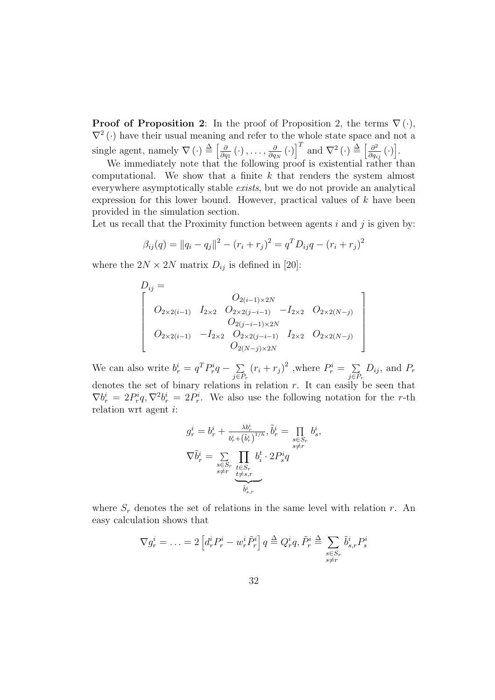**Proof of Proposition 2:** In the proof of Proposition 2, the terms  $\nabla(\cdot)$ ,  $\nabla^2(\cdot)$  have their usual meaning and refer to the whole state space and not a single agent, namely  $\nabla(\cdot) \triangleq \left[\frac{\partial}{\partial \theta}\right]$  $\frac{\partial}{\partial q_1}(\cdot)$  ,  $\dots$  ,  $\frac{\partial}{\partial q_1}$  $\frac{\partial}{\partial q_N}\left(\cdot\right)$  $\frac{1}{1}$ and  $\nabla^2(\cdot) \stackrel{\Delta}{=} \left[\frac{\partial^2}{\partial x}\right]$  $\frac{\partial^2}{\partial q_{ij}}\left(\cdot\right)$ i<br>i .

We immediately note that the following proof is existential rather than computational. We show that a finite  $k$  that renders the system almost everywhere asymptotically stable exists, but we do not provide an analytical expression for this lower bound. However, practical values of  $k$  have been provided in the simulation section.

Let us recall that the Proximity function between agents  $i$  and  $j$  is given by:

$$
\beta_{ij}(q) = ||q_i - q_j||^2 - (r_i + r_j)^2 = q^T D_{ij} q - (r_i + r_j)^2
$$

where the  $2N \times 2N$  matrix  $D_{ij}$  is defined in [20]:

$$
D_{ij} = \n\begin{bmatrix}\nO_{2(i-1)\times 2N} \\
O_{2\times 2(i-1)} & I_{2\times 2} & O_{2\times 2(j-i-1)} & -I_{2\times 2} & O_{2\times 2(N-j)} \\
O_{2(j-i-1)\times 2N} & O_{2\times 2(j-i-1)} & I_{2\times 2} & O_{2\times 2(N-j)} \\
O_{2(N-j)\times 2N} & O_{2(N-j)\times 2N}\n\end{bmatrix}
$$

 $\overline{a}$  $\mathbf{I}$  $\mathbf{I}$  $\mathbf{I}$  $\mathbf{I}$  $\mathbf{I}$  $\mathbf{I}$  $\mathbf{I}$ 

We can also write  $b_r^i = q^T P_r^i q - \sum_{i=1}^n q_i^j$  $\sum_{j\in P_r} (r_i + r_j)^2$ , where  $P_r^i = \sum_{j\in P_r}$  $\sum_{j\in P_r} D_{ij}$ , and  $P_r$ denotes the set of binary relations in relation  $r$ . It can easily be seen that  $\nabla b_r^i = 2P_r^i q$ ,  $\nabla^2 b_r^i = 2P_r^i$ . We also use the following notation for the r-th relation wrt agent i:

$$
\begin{aligned} g^i_r &= b^i_r + \frac{\lambda b^i_r}{b^i_r + \left(\tilde{b}^i_r\right)^{1/h}}, \tilde{b}^i_r = \prod\limits_{\substack{s \in S_r \\ s \neq r}} b^i_s, \\ \nabla \tilde{b}^i_r &= \sum\limits_{\substack{s \in S_r \\ s \neq r}} \prod\limits_{\substack{t \in S_r \\ t \neq s,r}} b^t_i \cdot 2P^i_s q \\ &\widetilde{b}^i_{s,r} \end{aligned}
$$

where  $S_r$  denotes the set of relations in the same level with relation r. An easy calculation shows that

$$
\nabla g_r^i = \ldots = 2 \left[ d_r^i P_r^i - w_r^i \tilde{P}_r^i \right] q \triangleq Q_r^i q, \tilde{P}_r^i \triangleq \sum_{\substack{s \in S_r \\ s \neq r}} \tilde{b}_{s,r}^i P_s^i
$$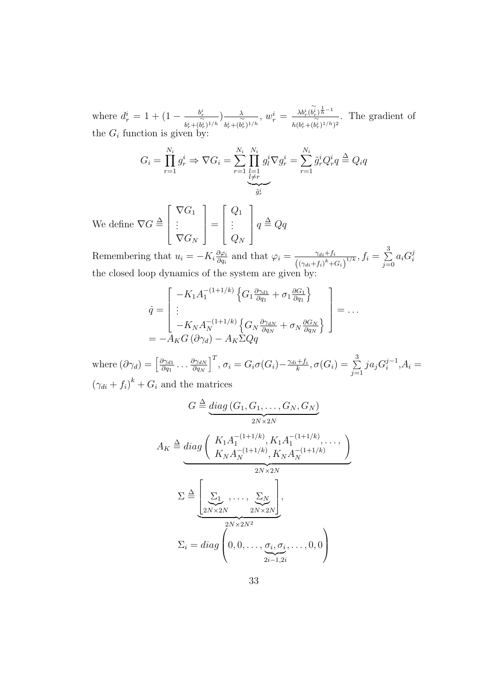where  $d_r^i = 1 + (1 - \frac{b_r^i}{\sqrt{n}})$  $\frac{b_r^i}{b_r^i + (b_r^i)^{1/h}} \Big) \frac{\lambda}{b_r^i + (b_r^i)^{1/h}}$  $\frac{\lambda}{b_{r}^{i}+(\widetilde{b}_{r}^{i})^{1/h}},\ w_{r}^{i}=\frac{\lambda b_{r}^{i}(\widetilde{b}_{r}^{i})^{\frac{1}{h}-1}}{h(b_{r}^{i}+(\widetilde{b}_{r}^{i})^{1/h}}$  $\frac{\lambda b_r^{\kappa} (b_r^{\kappa})^h}{h (b_r^{\kappa} + (b_r^{\kappa})^{1/h})^2}$ . The gradient of the  $G_i$  function is given by:

$$
G_i = \prod_{r=1}^{N_i} g_r^i \Rightarrow \nabla G_i = \sum_{r=1}^{N_i} \prod_{\substack{l=1 \ l \neq r}}^{N_i} g_l^i \nabla g_r^i = \sum_{r=1}^{N_i} \tilde{g}_r^i Q_r^i q \triangleq Q_i q
$$

We define  $\nabla G \stackrel{\Delta}{=}$  $\overline{r}$  $\overline{\phantom{a}}$  $\nabla G_1$ . . .  $\nabla G_N$  $\overline{a}$  $\Big| =$  $\overline{r}$  $\overline{\phantom{a}}$  $Q_1$ . . .  $\overline{Q}_N$  $\overline{a}$  $q \triangleq Qq$ 

Remembering that  $u_i = -K_i \frac{\partial \varphi_i}{\partial a_i}$  $\frac{\partial \varphi_i}{\partial q_i}$  and that  $\varphi_i = \frac{\gamma_{di} + f_i}{(\gamma_i + f_i)^k + f_i}$  $\frac{\gamma_{di}+f_i}{\left((\gamma_{di}+f_i)^k+G_i\right)^{1/k}}, f_i=\sum_{j=0}^3$  $\sum_{j=0}^{\infty} a_i G_i^j$ i the closed loop dynamics of the system are given by:

$$
\dot{q} = \begin{bmatrix} -K_1 A_1^{-(1+1/k)} \left\{ G_1 \frac{\partial \gamma_{d1}}{\partial q_1} + \sigma_1 \frac{\partial G_1}{\partial q_1} \right\} \\ \vdots \\ -K_N A_N^{-(1+1/k)} \left\{ G_N \frac{\partial \gamma_{dN}}{\partial q_N} + \sigma_N \frac{\partial G_N}{\partial q_N} \right\} \end{bmatrix} = \dots
$$
\n
$$
= -A_K G \left( \partial \gamma_d \right) - A_K \Sigma Q q
$$

where  $(\partial \gamma_d) = \left[\frac{\partial \gamma_{d1}}{\partial q_1}\right]$  $\frac{\partial \gamma_{d1}}{\partial q_1} \ldots \frac{\partial \gamma_{dN}}{\partial q_N}$  $\partial q_N$  $\overline{I}$  $, \sigma_i = G_i \sigma(G_i) - \frac{\gamma_{di} + f_i}{k}$  $\frac{f_i+f_i}{k}, \sigma(G_i)=\sum\limits_{i=1}^3$  $\sum_{j=1}^{3} ja_j G_i^{j-1}$  $i^{j-1}, A_i =$  $(\gamma_{di} + f_i)^k + G_i$  and the matrices

$$
G \triangleq \underbrace{diag (G_1, G_1, \dots, G_N, G_N)}_{2N \times 2N}
$$
  
\n
$$
A_K \triangleq diag \left( \frac{K_1 A_1^{-(1+1/k)}, K_1 A_1^{-(1+1/k)}, \dots, K_N A_N^{-(1+1/k)}}{K_N A_N^{-(1+1/k)}}, \frac{K_1 A_1^{-(1+1/k)}}{2N \times 2N} \right)
$$
  
\n
$$
\Sigma \triangleq \underbrace{\left[ \sum_{2N \times 2N} \sum_{2N \times 2N^2} \right]}_{2N \times 2N^2},
$$
  
\n
$$
\Sigma_i = diag \left( 0, 0, \dots, \underbrace{\sigma_i, \sigma_i}_{2i-1, 2i}, \dots, 0, 0 \right)
$$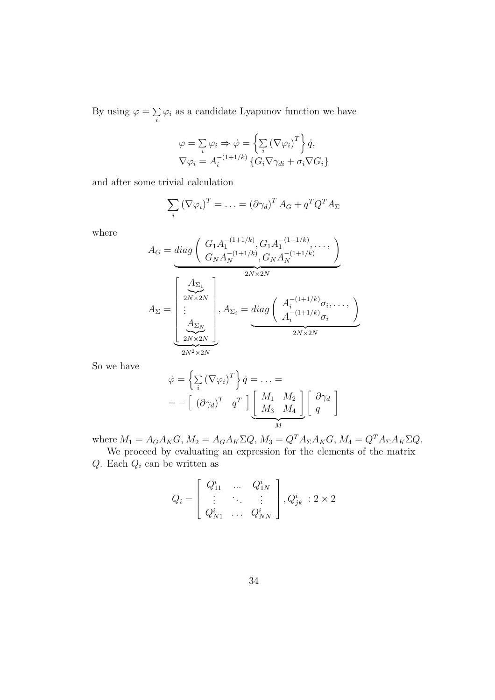By using  $\varphi = \sum$  $\sum_i \varphi_i$  as a candidate Lyapunov function we have

$$
\varphi = \sum_{i} \varphi_{i} \Rightarrow \dot{\varphi} = \left\{ \sum_{i} (\nabla \varphi_{i})^{T} \right\} \dot{q},
$$
  

$$
\nabla \varphi_{i} = A_{i}^{-(1+1/k)} \left\{ G_{i} \nabla \gamma_{di} + \sigma_{i} \nabla G_{i} \right\}
$$

and after some trivial calculation

$$
\sum_{i} (\nabla \varphi_i)^T = \ldots = (\partial \gamma_d)^T A_G + q^T Q^T A_\Sigma
$$

where

$$
A_G = diag\left(\frac{G_1 A_1^{-(1+1/k)}, G_1 A_1^{-(1+1/k)}, \dots, G_N A_N^{-(1+1/k)}}{G_N A_N^{-(1+1/k)}, G_N A_N^{-(1+1/k)}}\right)
$$

$$
A_{\Sigma} = \left[\frac{\sum_{2N \times 2N}^{2N}}{\sum_{2N \times 2N}^{2N}}\right], A_{\Sigma_i} = diag\left(\frac{A_i^{-(1+1/k)}\sigma_i, \dots, A_i^{-(1+1/k)}\sigma_i}{A_i^{-(1+1/k)}\sigma_i}\right)
$$

So we have

$$
\dot{\varphi} = \left\{ \sum_{i} (\nabla \varphi_{i})^{T} \right\} \dot{q} = \dots =
$$
  
= -\left[ (\partial \gamma\_{d})^{T} q^{T} \right] \underbrace{\begin{bmatrix} M\_{1} & M\_{2} \\ M\_{3} & M\_{4} \end{bmatrix}}\_{M} \begin{bmatrix} \partial \gamma\_{d} \\ q \end{bmatrix}

where  $M_1 = A_G A_K G$ ,  $M_2 = A_G A_K \Sigma Q$ ,  $M_3 = Q^T A_\Sigma A_K G$ ,  $M_4 = Q^T A_\Sigma A_K \Sigma Q$ .

We proceed by evaluating an expression for the elements of the matrix  $Q$ . Each  $Q_i$  can be written as

$$
Q_i = \begin{bmatrix} Q_{11}^i & \dots & Q_{1N}^i \\ \vdots & \ddots & \vdots \\ Q_{N1}^i & \dots & Q_{NN}^i \end{bmatrix}, Q_{jk}^i : 2 \times 2
$$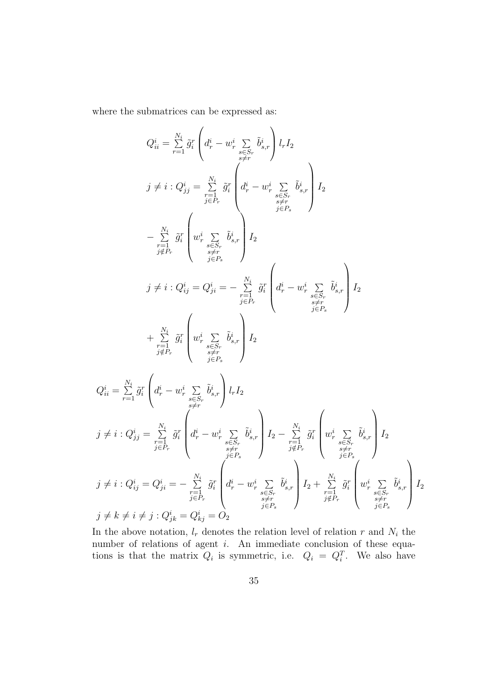where the submatrices can be expressed as:

$$
Q_{ii}^{i} = \sum_{r=1}^{N_{i}} \tilde{g}_{i}^{r} \left( d_{r}^{i} - w_{r}^{i} \sum_{\substack{s \leq r, \\ s \neq r}} \tilde{b}_{s,r}^{i} \right) l_{r} I_{2}
$$
\n
$$
j \neq i : Q_{jj}^{i} = \sum_{\substack{r=1 \\ j \in P_{r}}}^{N_{i}} \tilde{g}_{i}^{r} \left( d_{r}^{i} - w_{r}^{i} \sum_{\substack{s \leq r, \\ s \neq r}} \tilde{b}_{s,r}^{i} \right) I_{2}
$$
\n
$$
- \sum_{\substack{r=1 \\ j \neq P_{r}}}^{N_{i}} \tilde{g}_{i}^{r} \left( w_{r}^{i} \sum_{\substack{s \leq r, \\ s \neq r}} \tilde{b}_{s,r}^{i} \right) I_{2}
$$
\n
$$
j \neq i : Q_{ij}^{i} = Q_{ji}^{i} = - \sum_{\substack{r=1 \\ j \in P_{r}}}^{N_{i}} \tilde{g}_{i}^{r} \left( d_{r}^{i} - w_{r}^{i} \sum_{\substack{s \leq r, \\ s \neq r}} \tilde{b}_{s,r}^{i} \right) I_{2}
$$
\n
$$
Q_{ii}^{i} = \sum_{r=1}^{N_{i}} \tilde{g}_{i}^{r} \left( w_{r}^{i} \sum_{\substack{s \leq r, \\ s \neq r}} \tilde{b}_{s,r}^{i} \right) I_{2}
$$
\n
$$
Q_{ii}^{i} = \sum_{r=1}^{N_{i}} \tilde{g}_{i}^{r} \left( d_{r}^{i} - w_{r}^{i} \sum_{\substack{s \leq r, \\ s \neq r}} \tilde{b}_{s,r}^{i} \right) l_{r} I_{2}
$$
\n
$$
j \neq i : Q_{jj}^{i} = \sum_{\substack{r=1 \\ j \in P_{r}}} \tilde{g}_{i}^{r} \left( d_{r}^{i} - w_{r}^{i} \sum_{\substack{s \leq r, \\ s \neq r}} \tilde{b}_{s,r}^{i} \right) I_{2} - \sum_{\substack{r=1 \\ j \neq P_{r}}} \tilde{g}_{i}^{r} \left( w_{r}^{i} \sum_{
$$

In the above notation,  $l_r$  denotes the relation level of relation r and  $N_i$  the number of relations of agent *i*. An immediate conclusion of these equations is that the matrix  $Q_i$  is symmetric, i.e.  $Q_i = Q_i^T$ . We also have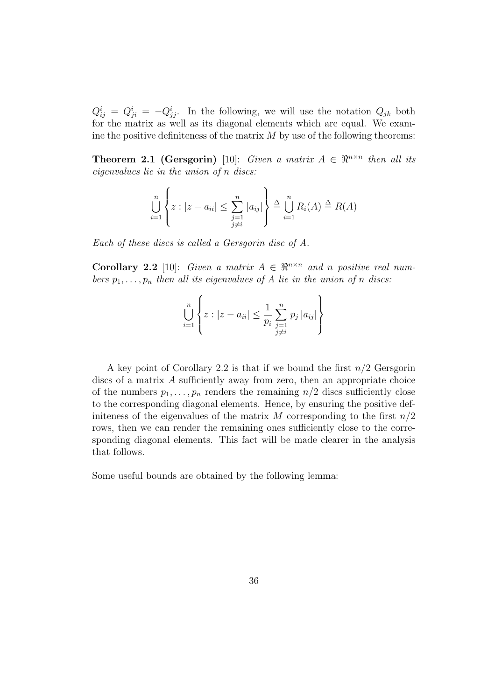$Q_{ij}^i = Q_{ji}^i = -Q_{jj}^i$ . In the following, we will use the notation  $Q_{jk}$  both for the matrix as well as its diagonal elements which are equal. We examine the positive definiteness of the matrix  $M$  by use of the following theorems:

**Theorem 2.1 (Gersgorin)** [10]: Given a matrix  $A \in \mathbb{R}^{n \times n}$  then all its eigenvalues lie in the union of n discs:

 $\ddot{\phantom{a}}$ 

$$
\bigcup_{i=1}^{n} \left\{ z : |z - a_{ii}| \leq \sum_{\substack{j=1 \ j \neq i}}^{n} |a_{ij}| \right\} \stackrel{\Delta}{=} \bigcup_{i=1}^{n} R_i(A) \stackrel{\Delta}{=} R(A)
$$

Each of these discs is called a Gersgorin disc of A.

 $\overline{ }$ 

Corollary 2.2 [10]: Given a matrix  $A \in \mathbb{R}^{n \times n}$  and n positive real numbers  $p_1, \ldots, p_n$  then all its eigenvalues of A lie in the union of n discs:

$$
\bigcup_{i=1}^{n} \left\{ z : |z - a_{ii}| \leq \frac{1}{p_i} \sum_{\substack{j=1 \ j \neq i}}^{n} p_j |a_{ij}| \right\}
$$

A key point of Corollary 2.2 is that if we bound the first  $n/2$  Gersgorin discs of a matrix A sufficiently away from zero, then an appropriate choice of the numbers  $p_1, \ldots, p_n$  renders the remaining  $n/2$  discs sufficiently close to the corresponding diagonal elements. Hence, by ensuring the positive definiteness of the eigenvalues of the matrix M corresponding to the first  $n/2$ rows, then we can render the remaining ones sufficiently close to the corresponding diagonal elements. This fact will be made clearer in the analysis that follows.

Some useful bounds are obtained by the following lemma: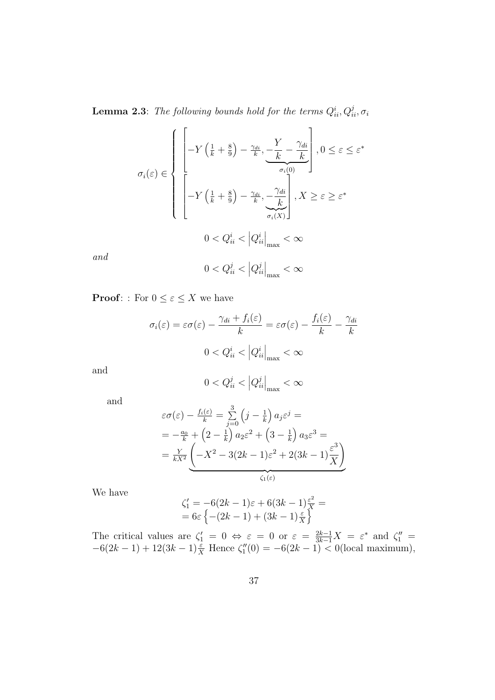**Lemma 2.3**: The following bounds hold for the terms  $Q_{ii}^i, Q_{ii}^j, \sigma_i$ 

$$
\sigma_{i}(\varepsilon) \in \left\{ \begin{aligned} & \left[ -Y\left(\frac{1}{k} + \frac{8}{9}\right) - \frac{\gamma_{di}}{k}, \underbrace{-\frac{Y}{k} - \frac{\gamma_{di}}{k}}_{\sigma_{i}(0)} \right], 0 \leq \varepsilon \leq \varepsilon^{*} \\ & \left[ -Y\left(\frac{1}{k} + \frac{8}{9}\right) - \frac{\gamma_{di}}{k}, \underbrace{-\frac{\gamma_{di}}{k}}_{\sigma_{i}(X)} \right], X \geq \varepsilon \geq \varepsilon^{*} \\ & 0 < Q_{ii}^{i} < \left|Q_{ii}^{i}\right|_{\max} < \infty \end{aligned} \right.
$$

and

$$
0 < Q_{ii}^j < |Q_{ii}^j|_{\text{max}} < \infty
$$

**Proof:** : For  $0 \leq \varepsilon \leq X$  we have

$$
\sigma_i(\varepsilon) = \varepsilon \sigma(\varepsilon) - \frac{\gamma_{di} + f_i(\varepsilon)}{k} = \varepsilon \sigma(\varepsilon) - \frac{f_i(\varepsilon)}{k} - \frac{\gamma_{di}}{k}
$$

$$
0 < Q_{ii}^i < |Q_{ii}^i|_{\text{max}} < \infty
$$

and

$$
0 < Q^j_{ii} < \left| Q^j_{ii} \right|_{\rm max} < \infty
$$

and

$$
\varepsilon \sigma(\varepsilon) - \frac{f_i(\varepsilon)}{k} = \sum_{j=0}^3 \left( j - \frac{1}{k} \right) a_j \varepsilon^j =
$$
  
=  $-\frac{a_0}{k} + \left( 2 - \frac{1}{k} \right) a_2 \varepsilon^2 + \left( 3 - \frac{1}{k} \right) a_3 \varepsilon^3 =$   
=  $\frac{Y}{kX^2} \left( -X^2 - 3(2k - 1)\varepsilon^2 + 2(3k - 1)\frac{\varepsilon^3}{X} \right)$ 

We have

$$
\zeta_1' = -6(2k-1)\varepsilon + 6(3k-1)\frac{\varepsilon^2}{X} =
$$
  
= 6\varepsilon \left\{ - (2k-1) + (3k-1)\frac{\varepsilon}{X} \right\}

The critical values are  $\zeta'_1 = 0 \Leftrightarrow \varepsilon = 0$  or  $\varepsilon = \frac{2k-1}{3k-1}X = \varepsilon^*$  and  $\zeta''_1 =$  $-6(2k-1) + 12(3k-1)\frac{\varepsilon}{X}$  Hence  $\zeta_1''(0) = -6(2k-1) < 0$  (local maximum),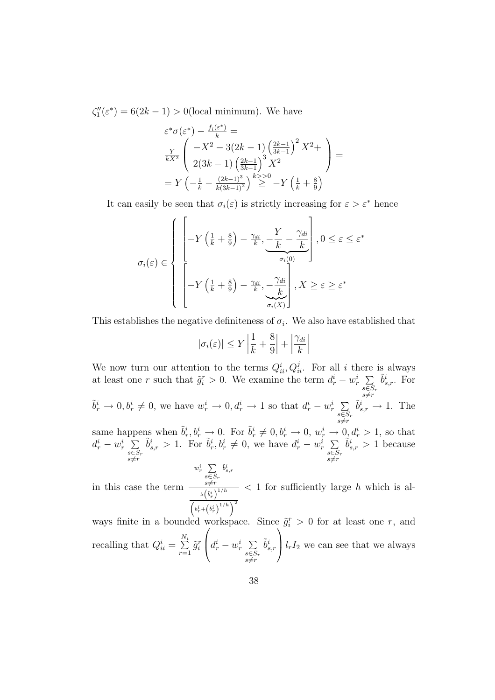$\zeta_1''(\varepsilon^*) = 6(2k-1) > 0$ (local minimum). We have

$$
\varepsilon^* \sigma(\varepsilon^*) - \frac{f_i(\varepsilon^*)}{k} =
$$
\n
$$
\frac{Y}{kX^2} \left( -X^2 - 3(2k - 1) \left( \frac{2k - 1}{3k - 1} \right)^2 X^2 + \right)
$$
\n
$$
= Y \left( -\frac{1}{k} - \frac{(2k - 1)^3}{k(3k - 1)^2} \right)^{k} \geq 0 - Y \left( \frac{1}{k} + \frac{8}{9} \right)
$$

It can easily be seen that  $\sigma_i(\varepsilon)$  is strictly increasing for  $\varepsilon > \varepsilon^*$  hence

 $\overline{a}$ 

$$
\sigma_{i}(\varepsilon) \in \left\{\begin{array}{c} \left[-Y\left(\frac{1}{k} + \frac{8}{9}\right) - \frac{\gamma_{di}}{k}, \underbrace{-\frac{Y}{k} - \frac{\gamma_{di}}{k}}_{\sigma_{i}\left(0\right)}\right], 0 \leq \varepsilon \leq \varepsilon^{*} \\ \left[-Y\left(\frac{1}{k} + \frac{8}{9}\right) - \frac{\gamma_{di}}{k}, \underbrace{-\frac{\gamma_{di}}{k}}_{\sigma_{i}\left(X\right)}\right], X \geq \varepsilon \geq \varepsilon^{*} \end{array}\right.
$$

This establishes the negative definiteness of  $\sigma_i$ . We also have established that

$$
|\sigma_i(\varepsilon)| \le Y \left| \frac{1}{k} + \frac{8}{9} \right| + \left| \frac{\gamma_{di}}{k} \right|
$$

We now turn our attention to the terms  $Q_{ii}^i, Q_{ii}^j$ . For all i there is always at least one r such that  $\tilde{g}_i^r > 0$ . We examine the term  $d_r^i - w_r^i$  $\tilde{\Gamma}$  $s \in S_r$  $s \neq r$  $\tilde{b}^i_{s,r}$ . For  $\overline{ }$ 

 $\tilde{b}_r^i \to 0, b_r^i \neq 0$ , we have  $w_r^i \to 0, d_r^i \to 1$  so that  $d_r^i - w_r^i$  $s∈S_r$ <br> $s≠r$  $\tilde{b}^i_{s,r} \to 1$ . The

same happens when  $\tilde{b}_r^i, b_r^i \to 0$ . For  $\tilde{b}_r^i \neq 0, b_r^i \to 0, w_r^i \to 0, d_r^i > 1$ , so that  $d_r^i - w_r^i$  $\tilde{P}$ s∈Sr<br>s≠r  $\tilde{b}_{s,r}^i > 1$ . For  $\tilde{b}_r^i, b_r^i \neq 0$ , we have  $d_r^i - w_r^i$  $\overline{\phantom{a}}$ s∈Sr<br>s≠r  $\tilde{b}^i_{s,r} > 1$  because

$$
w_r^i \sum_{\substack{s \in S_r \\ s \neq r}} \tilde{b}^i_{s,r}
$$

in this case the term  $\lambda\left(\tilde b^i_r\right)^{1/h}$  $\overline{\phantom{a}}$  $\frac{b_r^i + (b_r^i)^{1/h}}{b_r^i + (b_r^i)^{1/h}}$  $< 1$  for sufficiently large h which is al-

ways finite in a bounded workspace. Since  $\tilde{g}_i^r > 0$  for at least one r, and recalling that  $Q_{ii}^i = \sum_{i=1}^{N_i}$  $r=1$  $\tilde{g}^r_i\ \Big|\ d^i_r - w^i_r$  $\overline{ }$  $s∈S_r$ <br> $s≠r$  $\tilde{b}_{s,r}^i$   $\big| l_r I_2$  we can see that we always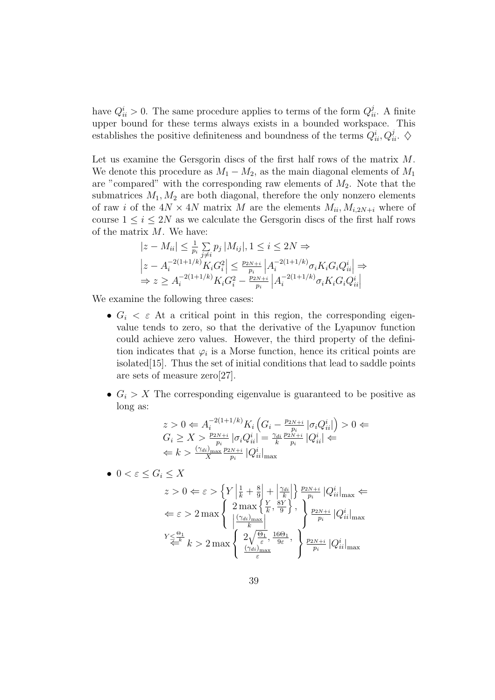have  $Q_{ii}^i > 0$ . The same procedure applies to terms of the form  $Q_{ii}^j$ . A finite upper bound for these terms always exists in a bounded workspace. This establishes the positive definiteness and boundness of the terms  $Q_{ii}^i, Q_{ii}^j$ .  $\diamondsuit$ 

Let us examine the Gersgorin discs of the first half rows of the matrix M. We denote this procedure as  $M_1 - M_2$ , as the main diagonal elements of  $M_1$ are "compared" with the corresponding raw elements of  $M_2$ . Note that the submatrices  $M_1, M_2$  are both diagonal, therefore the only nonzero elements of raw i of the  $4N \times 4N$  matrix M are the elements  $M_{ii}, M_{i,2N+i}$  where of course  $1 \leq i \leq 2N$  as we calculate the Gersgorin discs of the first half rows of the matrix  $M$ . We have:

$$
|z - M_{ii}| \leq \frac{1}{p_i} \sum_{j \neq i} p_j |M_{ij}|, 1 \leq i \leq 2N \Rightarrow
$$
  
\n
$$
|z - A_i^{-2(1+1/k)} K_i G_i^2| \leq \frac{p_{2N+i}}{p_i} |A_i^{-2(1+1/k)} \sigma_i K_i G_i Q_{ii}^i| \Rightarrow
$$
  
\n
$$
\Rightarrow z \geq A_i^{-2(1+1/k)} K_i G_i^2 - \frac{p_{2N+i}}{p_i} |A_i^{-2(1+1/k)} \sigma_i K_i G_i Q_{ii}^i|
$$

We examine the following three cases:

- $G_i < \varepsilon$  At a critical point in this region, the corresponding eigenvalue tends to zero, so that the derivative of the Lyapunov function could achieve zero values. However, the third property of the definition indicates that  $\varphi_i$  is a Morse function, hence its critical points are isolated[15]. Thus the set of initial conditions that lead to saddle points are sets of measure zero[27].
- $G_i > X$  The corresponding eigenvalue is guaranteed to be positive as long as:

$$
z > 0 \Leftarrow A_i^{-2(1+1/k)} K_i \left( G_i - \frac{p_{2N+i}}{p_i} \left| \sigma_i Q_{ii}^i \right| \right) > 0 \Leftarrow
$$
  
\n
$$
G_i \ge X > \frac{p_{2N+i}}{p_i} \left| \sigma_i Q_{ii}^i \right| = \frac{\gamma_{di}}{k} \frac{p_{2N+i}}{p_i} \left| Q_{ii}^i \right| \Leftarrow
$$
  
\n
$$
\Leftarrow k > \frac{(\gamma_{di})_{\text{max}}}{X} \frac{p_{2N+i}}{p_i} \left| Q_{ii}^i \right|_{\text{max}}
$$

•  $0 < \varepsilon \leq G_i \leq X$ 

$$
z > 0 \Leftarrow \varepsilon > \left\{ Y \left| \frac{1}{k} + \frac{8}{9} \right| + \left| \frac{\gamma_{di}}{k} \right| \right\} \frac{p_{2N+i}}{p_i} |Q_{ii}^i|_{\max} \Leftarrow
$$
  

$$
\Leftarrow \varepsilon > 2 \max \left\{ 2 \max \left\{ \frac{Y}{k}, \frac{8Y}{9} \right\}, \left\{ \frac{p_{2N+i}}{p_i} |Q_{ii}^i|_{\max} \right\}
$$
  

$$
Y \leq \frac{\Theta_1}{k} k > 2 \max \left\{ 2 \sqrt{\frac{\Theta_1}{\varepsilon}}, \frac{16\Theta_1}{9\varepsilon}, \left\{ \frac{p_{2N+i}}{p_i} |Q_{ii}^i|_{\max} \right\}
$$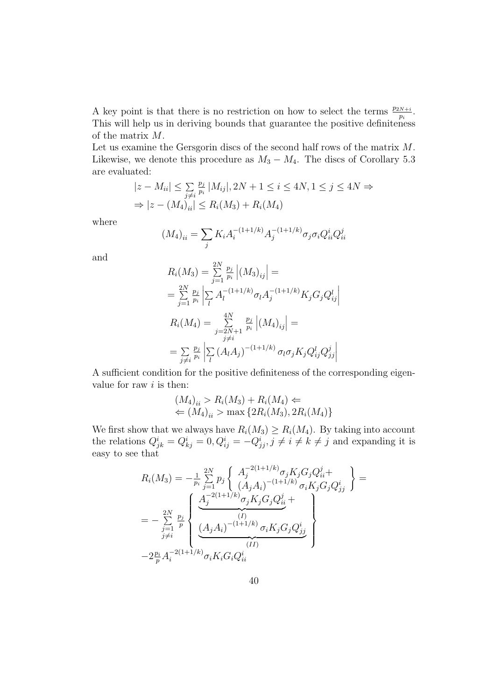A key point is that there is no restriction on how to select the terms  $\frac{p_{2N+i}}{p_i}$ . This will help us in deriving bounds that guarantee the positive definiteness of the matrix M.

Let us examine the Gersgorin discs of the second half rows of the matrix M. Likewise, we denote this procedure as  $M_3 - M_4$ . The discs of Corollary 5.3 are evaluated:

$$
|z - M_{ii}| \le \sum_{j \ne i} \frac{p_j}{p_i} |M_{ij}|, 2N + 1 \le i \le 4N, 1 \le j \le 4N \Rightarrow
$$
  
\n
$$
\Rightarrow |z - (M_4)_{ii}| \le R_i(M_3) + R_i(M_4)
$$

where

$$
(M_4)_{ii} = \sum_j K_i A_i^{-(1+1/k)} A_j^{-(1+1/k)} \sigma_j \sigma_i Q_{ii}^i Q_{ii}^j
$$

and

$$
R_i(M_3) = \sum_{j=1}^{2N} \frac{p_j}{p_i} |(M_3)_{ij}| =
$$
  
\n
$$
= \sum_{j=1}^{2N} \frac{p_j}{p_i} \left| \sum_{l} A_l^{-(1+1/k)} \sigma_l A_j^{-(1+1/k)} K_j G_j Q_{ij}^l \right|
$$
  
\n
$$
R_i(M_4) = \sum_{\substack{j=2N+1 \ j \neq i}}^{4N} \frac{p_j}{p_i} |(M_4)_{ij}| =
$$
  
\n
$$
= \sum_{\substack{j \neq i}} \frac{p_j}{p_i} \left| \sum_{l} (A_l A_j)^{-(1+1/k)} \sigma_l \sigma_j K_j Q_{ij}^l Q_{jj}^j \right|
$$

A sufficient condition for the positive definiteness of the corresponding eigenvalue for raw  $i$  is then:

$$
(M_4)_{ii} > R_i(M_3) + R_i(M_4) \Leftarrow
$$
  

$$
\Leftarrow (M_4)_{ii} > \max\{2R_i(M_3), 2R_i(M_4)\}
$$

We first show that we always have  $R_i(M_3) \ge R_i(M_4)$ . By taking into account the relations  $Q^i_{jk} = Q^i_{kj} = 0, Q^i_{ij} = -Q^i_{jj}, j \neq i \neq k \neq j$  and expanding it is easy to see that

$$
R_i(M_3) = -\frac{1}{p_i} \sum_{j=1}^{2N} p_j \left\{ \begin{array}{l} A_j^{-2(1+1/k)} \sigma_j K_j G_j Q_{ii}^j + \\ (A_j A_i)^{-(1+1/k)} \sigma_i K_j G_j Q_{jj}^i \end{array} \right\} =
$$
  

$$
= -\sum_{\substack{j=1 \ j \neq i}}^{2N} \sum_{p}^{p_j} \left\{ \frac{A_j^{-2(1+1/k)} \sigma_j K_j G_j Q_{ii}^j + \\ (A_j A_i)^{-(1+1/k)} \sigma_i K_j G_j Q_{jj}^i \right\}
$$
  

$$
-2 \frac{p_i}{p} A_i^{-2(1+1/k)} \sigma_i K_i G_i Q_{ii}^i
$$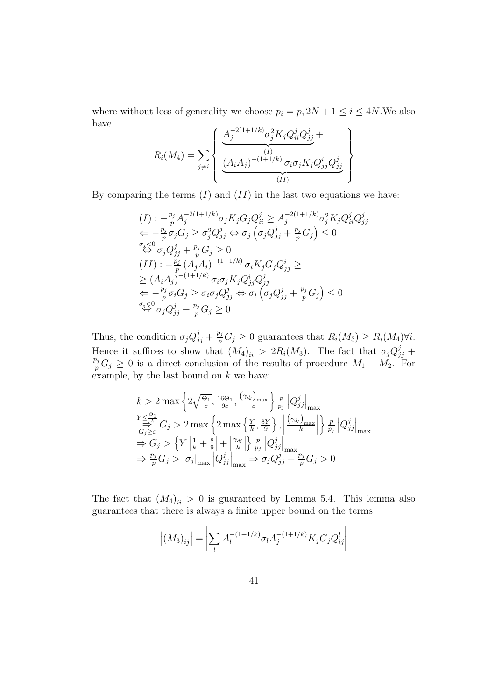where without loss of generality we choose  $p_i = p$ ,  $2N + 1 \le i \le 4N$ . We also have  $\overline{a}$  $\mathbf{r}$ 

$$
R_i(M_4) = \sum_{j \neq i} \left\{ \underbrace{\underbrace{\frac{A_j^{-2(1+1/k)} \sigma_j^2 K_j Q_{ii}^j Q_{jj}^j}_{(I)}}_{(II)} + \underbrace{\underbrace{\frac{(A_i A_j)^{-(1+1/k)} \sigma_i \sigma_j K_j Q_{jj}^i Q_{jj}^j}_{(II)}}_{(II)}}_{(II)} \right\}
$$

By comparing the terms  $(I)$  and  $(II)$  in the last two equations we have:

$$
(I) : -\frac{p_j}{p} A_j^{-2(1+1/k)} \sigma_j K_j G_j Q_{ii}^j \geq A_j^{-2(1+1/k)} \sigma_j^2 K_j Q_{ii}^j Q_{jj}^j
$$
  
\n
$$
\Leftarrow -\frac{p_j}{p} \sigma_j G_j \geq \sigma_j^2 Q_{jj}^j \Leftrightarrow \sigma_j \left( \sigma_j Q_{jj}^j + \frac{p_j}{p} G_j \right) \leq 0
$$
  
\n
$$
\stackrel{\sigma_j < 0}{\Leftrightarrow} \sigma_j Q_{jj}^j + \frac{p_j}{p} G_j \geq 0
$$
  
\n
$$
(II) : -\frac{p_j}{p} \left( A_j A_i \right)^{-(1+1/k)} \sigma_i K_j G_j Q_{jj}^i \geq
$$
  
\n
$$
\geq (A_i A_j)^{-(1+1/k)} \sigma_i \sigma_j K_j Q_{jj}^i Q_{jj}^j
$$
  
\n
$$
\Leftarrow -\frac{p_j}{p} \sigma_i G_j \geq \sigma_i \sigma_j Q_{jj}^j \Leftrightarrow \sigma_i \left( \sigma_j Q_{jj}^j + \frac{p_j}{p} G_j \right) \leq 0
$$
  
\n
$$
\stackrel{\sigma_i \leq 0}{\Leftrightarrow} \sigma_j Q_{jj}^j + \frac{p_j}{p} G_j \geq 0
$$

Thus, the condition  $\sigma_j Q_{jj}^j + \frac{p_j}{p}$  $p_p^{o_j} G_j \geq 0$  guarantees that  $R_i(M_3) \geq R_i(M_4) \forall i$ . Hence it suffices to show that  $(M_4)_{ii} > 2R_i(M_3)$ . The fact that  $\sigma_j Q_{jj}^j + p_j C > 0$  is a direct conclusion of the results of procedure M M For  $p_p^{j_1}G_j \geq 0$  is a direct conclusion of the results of procedure  $M_1 - M_2$ . For example, by the last bound on  $k$  we have:

$$
k > 2 \max \left\{ 2\sqrt{\frac{\Theta_1}{\varepsilon}}, \frac{16\Theta_1}{9\varepsilon}, \frac{(\gamma_{dj})_{\max}}{\varepsilon} \right\} \frac{p}{p_j} |Q^j_{jj}|_{\max}
$$
  
\n
$$
\sum_{\substack{G_j \ge \varepsilon}}^{Y \le \frac{\Theta_1}{\varepsilon}} G_j > 2 \max \left\{ 2 \max \left\{ \frac{Y}{k}, \frac{8Y}{9} \right\}, \left| \frac{(\gamma_{dj})_{\max}}{k} \right| \right\} \frac{p}{p_j} |Q^j_{jj}|_{\max}
$$
  
\n
$$
\Rightarrow G_j > \left\{ Y \left| \frac{1}{k} + \frac{8}{9} \right| + \left| \frac{\gamma_{dj}}{k} \right| \right\} \frac{p}{p_j} |Q^j_{jj}|_{\max}
$$
  
\n
$$
\Rightarrow \frac{p_j}{p} G_j > |\sigma_j|_{\max} |Q^j_{jj}|_{\max} \Rightarrow \sigma_j Q^j_{jj} + \frac{p_j}{p} G_j > 0
$$

The fact that  $(M_4)_{ii} > 0$  is guaranteed by Lemma 5.4. This lemma also guarantees that there is always a finite upper bound on the terms

$$
\left| (M_3)_{ij} \right| = \left| \sum_l A_l^{-(1+1/k)} \sigma_l A_j^{-(1+1/k)} K_j G_j Q_{ij}^l \right|
$$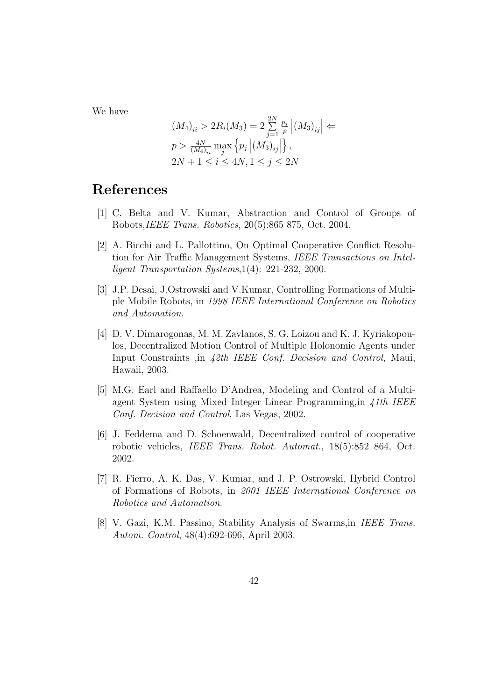We have

$$
(M_4)_{ii} > 2R_i(M_3) = 2\sum_{j=1}^{2N} \frac{p_j}{p} |(M_3)_{ij}| \Leftarrow
$$
  
\n
$$
p > \frac{4N}{(M_4)_{ii}} \max_{j} \{p_j |(M_3)_{ij}|\},
$$
  
\n
$$
2N + 1 \le i \le 4N, 1 \le j \le 2N
$$

# References

- [1] C. Belta and V. Kumar, Abstraction and Control of Groups of Robots,IEEE Trans. Robotics, 20(5):865 875, Oct. 2004.
- [2] A. Bicchi and L. Pallottino, On Optimal Cooperative Conflict Resolution for Air Traffic Management Systems, IEEE Transactions on Intelligent Transportation Systems,1(4): 221-232, 2000.
- [3] J.P. Desai, J.Ostrowski and V.Kumar, Controlling Formations of Multiple Mobile Robots, in 1998 IEEE International Conference on Robotics and Automation.
- [4] D. V. Dimarogonas, M. M. Zavlanos, S. G. Loizou and K. J. Kyriakopoulos, Decentralized Motion Control of Multiple Holonomic Agents under Input Constraints ,in 42th IEEE Conf. Decision and Control, Maui, Hawaii, 2003.
- [5] M.G. Earl and Raffaello D'Andrea, Modeling and Control of a Multiagent System using Mixed Integer Linear Programming,in 41th IEEE Conf. Decision and Control, Las Vegas, 2002.
- [6] J. Feddema and D. Schoenwald, Decentralized control of cooperative robotic vehicles, IEEE Trans. Robot. Automat., 18(5):852 864, Oct. 2002.
- [7] R. Fierro, A. K. Das, V. Kumar, and J. P. Ostrowski, Hybrid Control of Formations of Robots, in 2001 IEEE International Conference on Robotics and Automation.
- [8] V. Gazi, K.M. Passino, Stability Analysis of Swarms,in IEEE Trans. Autom. Control, 48(4):692-696, April 2003.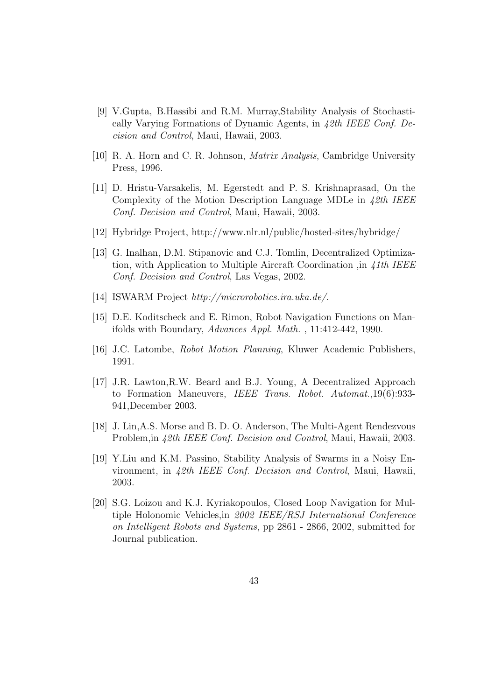- [9] V.Gupta, B.Hassibi and R.M. Murray,Stability Analysis of Stochastically Varying Formations of Dynamic Agents, in 42th IEEE Conf. Decision and Control, Maui, Hawaii, 2003.
- [10] R. A. Horn and C. R. Johnson, Matrix Analysis, Cambridge University Press, 1996.
- [11] D. Hristu-Varsakelis, M. Egerstedt and P. S. Krishnaprasad, On the Complexity of the Motion Description Language MDLe in 42th IEEE Conf. Decision and Control, Maui, Hawaii, 2003.
- [12] Hybridge Project, http://www.nlr.nl/public/hosted-sites/hybridge/
- [13] G. Inalhan, D.M. Stipanovic and C.J. Tomlin, Decentralized Optimization, with Application to Multiple Aircraft Coordination ,in 41th IEEE Conf. Decision and Control, Las Vegas, 2002.
- [14] ISWARM Project http://microrobotics.ira.uka.de/.
- [15] D.E. Koditscheck and E. Rimon, Robot Navigation Functions on Manifolds with Boundary, Advances Appl. Math. , 11:412-442, 1990.
- [16] J.C. Latombe, Robot Motion Planning, Kluwer Academic Publishers, 1991.
- [17] J.R. Lawton,R.W. Beard and B.J. Young, A Decentralized Approach to Formation Maneuvers, IEEE Trans. Robot. Automat.,19(6):933- 941,December 2003.
- [18] J. Lin,A.S. Morse and B. D. O. Anderson, The Multi-Agent Rendezvous Problem,in 42th IEEE Conf. Decision and Control, Maui, Hawaii, 2003.
- [19] Y.Liu and K.M. Passino, Stability Analysis of Swarms in a Noisy Environment, in 42th IEEE Conf. Decision and Control, Maui, Hawaii, 2003.
- [20] S.G. Loizou and K.J. Kyriakopoulos, Closed Loop Navigation for Multiple Holonomic Vehicles,in 2002 IEEE/RSJ International Conference on Intelligent Robots and Systems, pp 2861 - 2866, 2002, submitted for Journal publication.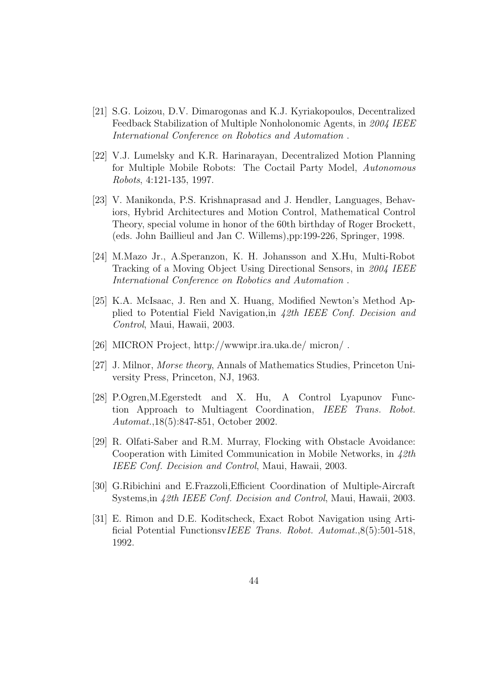- [21] S.G. Loizou, D.V. Dimarogonas and K.J. Kyriakopoulos, Decentralized Feedback Stabilization of Multiple Nonholonomic Agents, in 2004 IEEE International Conference on Robotics and Automation .
- [22] V.J. Lumelsky and K.R. Harinarayan, Decentralized Motion Planning for Multiple Mobile Robots: The Coctail Party Model, Autonomous Robots, 4:121-135, 1997.
- [23] V. Manikonda, P.S. Krishnaprasad and J. Hendler, Languages, Behaviors, Hybrid Architectures and Motion Control, Mathematical Control Theory, special volume in honor of the 60th birthday of Roger Brockett, (eds. John Baillieul and Jan C. Willems),pp:199-226, Springer, 1998.
- [24] M.Mazo Jr., A.Speranzon, K. H. Johansson and X.Hu, Multi-Robot Tracking of a Moving Object Using Directional Sensors, in 2004 IEEE International Conference on Robotics and Automation .
- [25] K.A. McIsaac, J. Ren and X. Huang, Modified Newton's Method Applied to Potential Field Navigation,in 42th IEEE Conf. Decision and Control, Maui, Hawaii, 2003.
- [26] MICRON Project, http://wwwipr.ira.uka.de/ micron/ .
- [27] J. Milnor, Morse theory, Annals of Mathematics Studies, Princeton University Press, Princeton, NJ, 1963.
- [28] P.Ogren,M.Egerstedt and X. Hu, A Control Lyapunov Function Approach to Multiagent Coordination, IEEE Trans. Robot. Automat.,18(5):847-851, October 2002.
- [29] R. Olfati-Saber and R.M. Murray, Flocking with Obstacle Avoidance: Cooperation with Limited Communication in Mobile Networks, in  $\angle 2th$ IEEE Conf. Decision and Control, Maui, Hawaii, 2003.
- [30] G.Ribichini and E.Frazzoli,Efficient Coordination of Multiple-Aircraft Systems, in 42th IEEE Conf. Decision and Control, Maui, Hawaii, 2003.
- [31] E. Rimon and D.E. Koditscheck, Exact Robot Navigation using Artificial Potential FunctionsvIEEE Trans. Robot. Automat.,8(5):501-518, 1992.